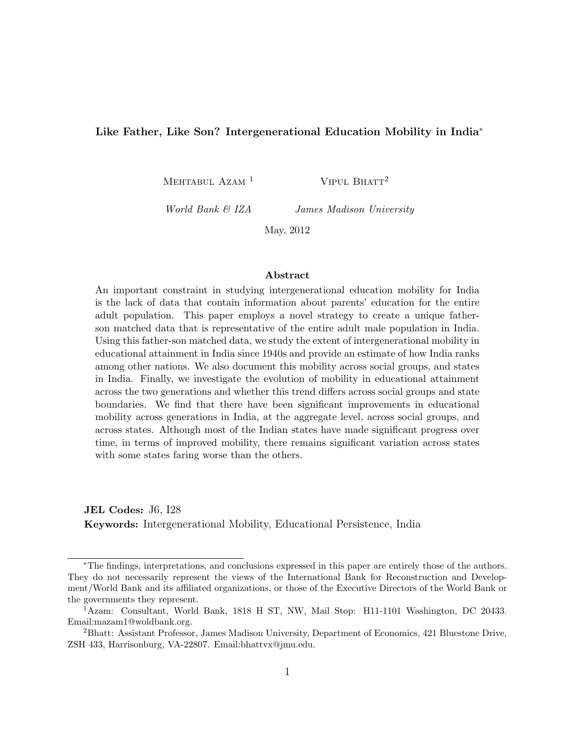#### Like Father, Like Son? Intergenerational Education Mobility in India<sup>\*</sup>

MEHTABUL AZAM<sup>1</sup>

VIPUL BHATT<sup>2</sup>

World Bank & IZA

James Madison University

May, 2012

#### Abstract

An important constraint in studying intergenerational education mobility for India is the lack of data that contain information about parents' education for the entire adult population. This paper employs a novel strategy to create a unique fatherson matched data that is representative of the entire adult male population in India. Using this father-son matched data, we study the extent of intergenerational mobility in educational attainment in India since 1940s and provide an estimate of how India ranks among other nations. We also document this mobility across social groups, and states in India. Finally, we investigate the evolution of mobility in educational attainment across the two generations and whether this trend differs across social groups and state boundaries. We find that there have been significant improvements in educational mobility across generations in India, at the aggregate level, across social groups, and across states. Although most of the Indian states have made significant progress over time, in terms of improved mobility, there remains significant variation across states with some states faring worse than the others.

JEL Codes: J6, I28 Keywords: Intergenerational Mobility, Educational Persistence, India

<sup>∗</sup>The findings, interpretations, and conclusions expressed in this paper are entirely those of the authors. They do not necessarily represent the views of the International Bank for Reconstruction and Development/World Bank and its affiliated organizations, or those of the Executive Directors of the World Bank or the governments they represent.

<sup>1</sup>Azam: Consultant, World Bank, 1818 H ST, NW, Mail Stop: H11-1101 Washington, DC 20433. Email:mazam1@woldbank.org.

<sup>2</sup>Bhatt: Assistant Professor, James Madison University, Department of Economics, 421 Bluestone Drive, ZSH 433, Harrisonburg, VA-22807. Email:bhattvx@jmu.edu.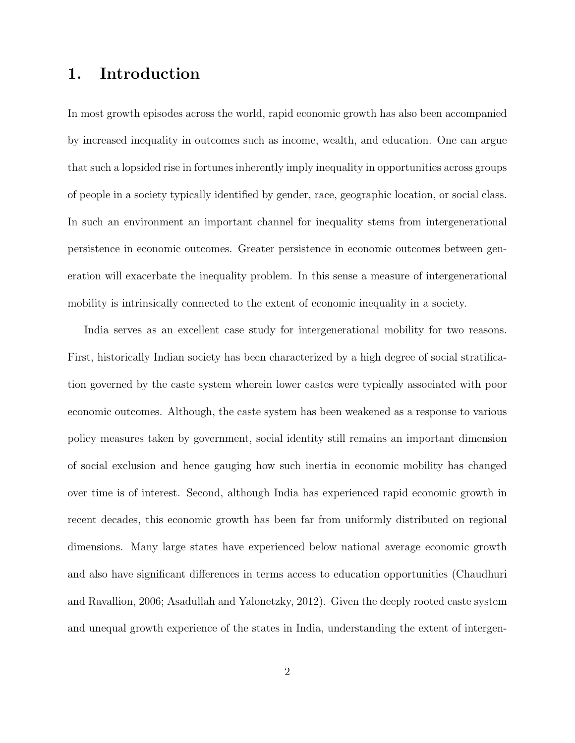# 1. Introduction

In most growth episodes across the world, rapid economic growth has also been accompanied by increased inequality in outcomes such as income, wealth, and education. One can argue that such a lopsided rise in fortunes inherently imply inequality in opportunities across groups of people in a society typically identified by gender, race, geographic location, or social class. In such an environment an important channel for inequality stems from intergenerational persistence in economic outcomes. Greater persistence in economic outcomes between generation will exacerbate the inequality problem. In this sense a measure of intergenerational mobility is intrinsically connected to the extent of economic inequality in a society.

India serves as an excellent case study for intergenerational mobility for two reasons. First, historically Indian society has been characterized by a high degree of social stratification governed by the caste system wherein lower castes were typically associated with poor economic outcomes. Although, the caste system has been weakened as a response to various policy measures taken by government, social identity still remains an important dimension of social exclusion and hence gauging how such inertia in economic mobility has changed over time is of interest. Second, although India has experienced rapid economic growth in recent decades, this economic growth has been far from uniformly distributed on regional dimensions. Many large states have experienced below national average economic growth and also have significant differences in terms access to education opportunities (Chaudhuri and Ravallion, 2006; Asadullah and Yalonetzky, 2012). Given the deeply rooted caste system and unequal growth experience of the states in India, understanding the extent of intergen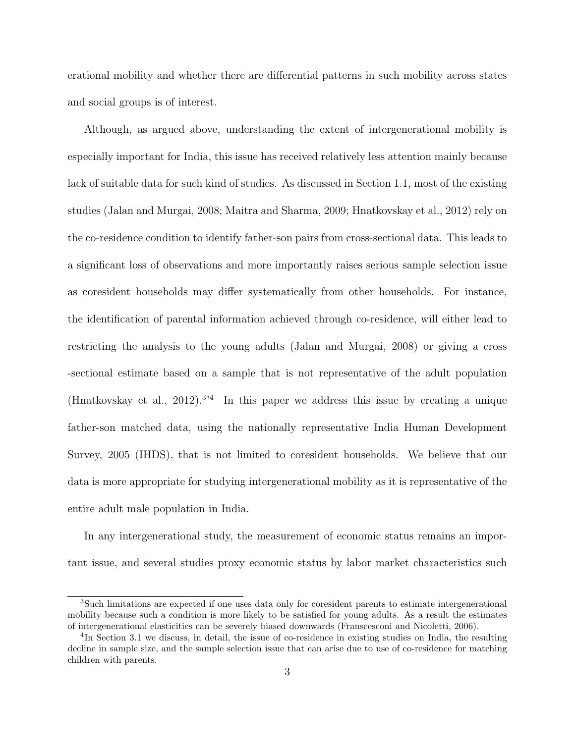erational mobility and whether there are differential patterns in such mobility across states and social groups is of interest.

Although, as argued above, understanding the extent of intergenerational mobility is especially important for India, this issue has received relatively less attention mainly because lack of suitable data for such kind of studies. As discussed in Section 1.1, most of the existing studies (Jalan and Murgai, 2008; Maitra and Sharma, 2009; Hnatkovskay et al., 2012) rely on the co-residence condition to identify father-son pairs from cross-sectional data. This leads to a significant loss of observations and more importantly raises serious sample selection issue as coresident households may differ systematically from other households. For instance, the identification of parental information achieved through co-residence, will either lead to restricting the analysis to the young adults (Jalan and Murgai, 2008) or giving a cross -sectional estimate based on a sample that is not representative of the adult population (Hnatkovskay et al., 2012).<sup>3,4</sup> In this paper we address this issue by creating a unique father-son matched data, using the nationally representative India Human Development Survey, 2005 (IHDS), that is not limited to coresident households. We believe that our data is more appropriate for studying intergenerational mobility as it is representative of the entire adult male population in India.

In any intergenerational study, the measurement of economic status remains an important issue, and several studies proxy economic status by labor market characteristics such

<sup>3</sup>Such limitations are expected if one uses data only for coresident parents to estimate intergenerational mobility because such a condition is more likely to be satisfied for young adults. As a result the estimates of intergenerational elasticities can be severely biased downwards (Franscesconi and Nicoletti, 2006).

<sup>&</sup>lt;sup>4</sup>In Section 3.1 we discuss, in detail, the issue of co-residence in existing studies on India, the resulting decline in sample size, and the sample selection issue that can arise due to use of co-residence for matching children with parents.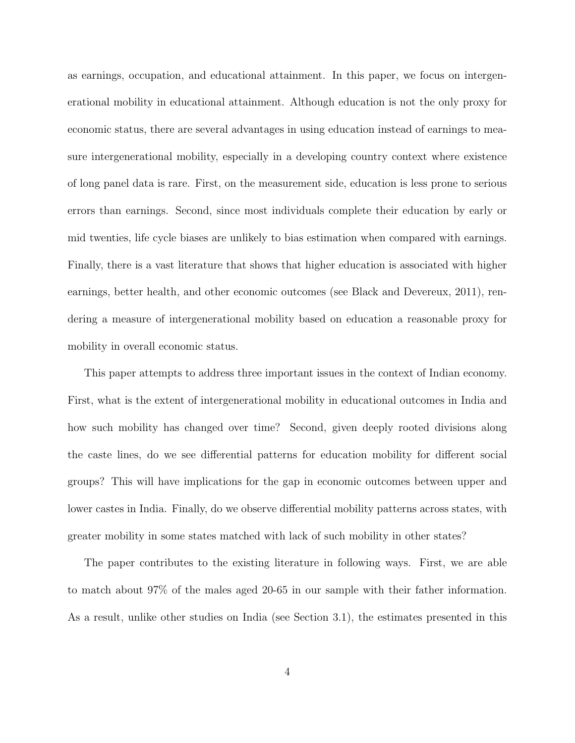as earnings, occupation, and educational attainment. In this paper, we focus on intergenerational mobility in educational attainment. Although education is not the only proxy for economic status, there are several advantages in using education instead of earnings to measure intergenerational mobility, especially in a developing country context where existence of long panel data is rare. First, on the measurement side, education is less prone to serious errors than earnings. Second, since most individuals complete their education by early or mid twenties, life cycle biases are unlikely to bias estimation when compared with earnings. Finally, there is a vast literature that shows that higher education is associated with higher earnings, better health, and other economic outcomes (see Black and Devereux, 2011), rendering a measure of intergenerational mobility based on education a reasonable proxy for mobility in overall economic status.

This paper attempts to address three important issues in the context of Indian economy. First, what is the extent of intergenerational mobility in educational outcomes in India and how such mobility has changed over time? Second, given deeply rooted divisions along the caste lines, do we see differential patterns for education mobility for different social groups? This will have implications for the gap in economic outcomes between upper and lower castes in India. Finally, do we observe differential mobility patterns across states, with greater mobility in some states matched with lack of such mobility in other states?

The paper contributes to the existing literature in following ways. First, we are able to match about 97% of the males aged 20-65 in our sample with their father information. As a result, unlike other studies on India (see Section 3.1), the estimates presented in this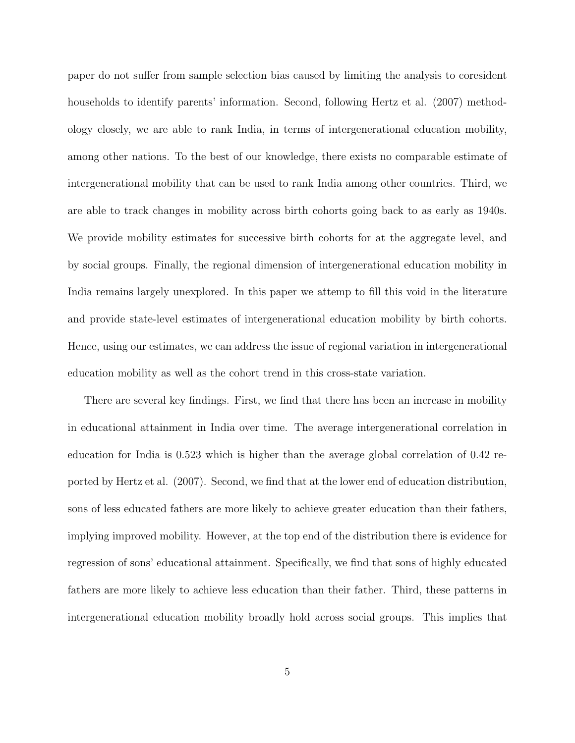paper do not suffer from sample selection bias caused by limiting the analysis to coresident households to identify parents' information. Second, following Hertz et al. (2007) methodology closely, we are able to rank India, in terms of intergenerational education mobility, among other nations. To the best of our knowledge, there exists no comparable estimate of intergenerational mobility that can be used to rank India among other countries. Third, we are able to track changes in mobility across birth cohorts going back to as early as 1940s. We provide mobility estimates for successive birth cohorts for at the aggregate level, and by social groups. Finally, the regional dimension of intergenerational education mobility in India remains largely unexplored. In this paper we attemp to fill this void in the literature and provide state-level estimates of intergenerational education mobility by birth cohorts. Hence, using our estimates, we can address the issue of regional variation in intergenerational education mobility as well as the cohort trend in this cross-state variation.

There are several key findings. First, we find that there has been an increase in mobility in educational attainment in India over time. The average intergenerational correlation in education for India is 0.523 which is higher than the average global correlation of 0.42 reported by Hertz et al. (2007). Second, we find that at the lower end of education distribution, sons of less educated fathers are more likely to achieve greater education than their fathers, implying improved mobility. However, at the top end of the distribution there is evidence for regression of sons' educational attainment. Specifically, we find that sons of highly educated fathers are more likely to achieve less education than their father. Third, these patterns in intergenerational education mobility broadly hold across social groups. This implies that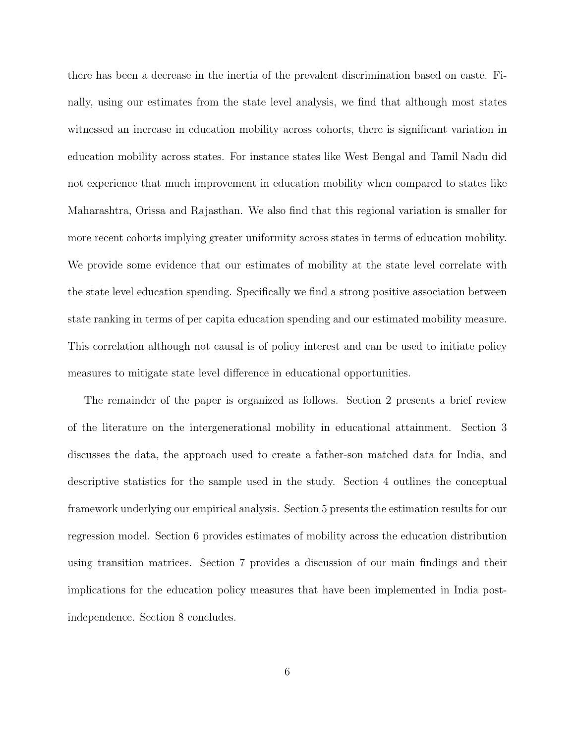there has been a decrease in the inertia of the prevalent discrimination based on caste. Finally, using our estimates from the state level analysis, we find that although most states witnessed an increase in education mobility across cohorts, there is significant variation in education mobility across states. For instance states like West Bengal and Tamil Nadu did not experience that much improvement in education mobility when compared to states like Maharashtra, Orissa and Rajasthan. We also find that this regional variation is smaller for more recent cohorts implying greater uniformity across states in terms of education mobility. We provide some evidence that our estimates of mobility at the state level correlate with the state level education spending. Specifically we find a strong positive association between state ranking in terms of per capita education spending and our estimated mobility measure. This correlation although not causal is of policy interest and can be used to initiate policy measures to mitigate state level difference in educational opportunities.

The remainder of the paper is organized as follows. Section 2 presents a brief review of the literature on the intergenerational mobility in educational attainment. Section 3 discusses the data, the approach used to create a father-son matched data for India, and descriptive statistics for the sample used in the study. Section 4 outlines the conceptual framework underlying our empirical analysis. Section 5 presents the estimation results for our regression model. Section 6 provides estimates of mobility across the education distribution using transition matrices. Section 7 provides a discussion of our main findings and their implications for the education policy measures that have been implemented in India postindependence. Section 8 concludes.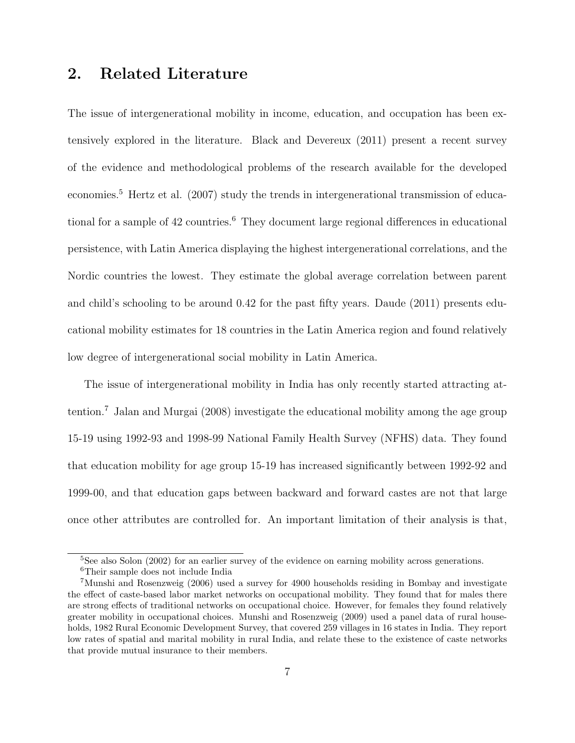# 2. Related Literature

The issue of intergenerational mobility in income, education, and occupation has been extensively explored in the literature. Black and Devereux (2011) present a recent survey of the evidence and methodological problems of the research available for the developed economies.<sup>5</sup> Hertz et al. (2007) study the trends in intergenerational transmission of educational for a sample of 42 countries.<sup>6</sup> They document large regional differences in educational persistence, with Latin America displaying the highest intergenerational correlations, and the Nordic countries the lowest. They estimate the global average correlation between parent and child's schooling to be around 0.42 for the past fifty years. Daude (2011) presents educational mobility estimates for 18 countries in the Latin America region and found relatively low degree of intergenerational social mobility in Latin America.

The issue of intergenerational mobility in India has only recently started attracting attention.<sup>7</sup> Jalan and Murgai (2008) investigate the educational mobility among the age group 15-19 using 1992-93 and 1998-99 National Family Health Survey (NFHS) data. They found that education mobility for age group 15-19 has increased significantly between 1992-92 and 1999-00, and that education gaps between backward and forward castes are not that large once other attributes are controlled for. An important limitation of their analysis is that,

<sup>&</sup>lt;sup>5</sup>See also Solon (2002) for an earlier survey of the evidence on earning mobility across generations.

<sup>6</sup>Their sample does not include India

<sup>7</sup>Munshi and Rosenzweig (2006) used a survey for 4900 households residing in Bombay and investigate the effect of caste-based labor market networks on occupational mobility. They found that for males there are strong effects of traditional networks on occupational choice. However, for females they found relatively greater mobility in occupational choices. Munshi and Rosenzweig (2009) used a panel data of rural households, 1982 Rural Economic Development Survey, that covered 259 villages in 16 states in India. They report low rates of spatial and marital mobility in rural India, and relate these to the existence of caste networks that provide mutual insurance to their members.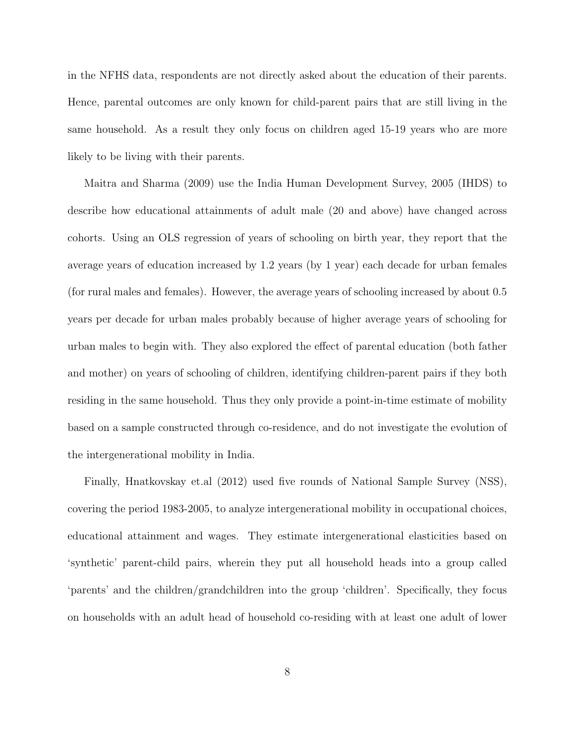in the NFHS data, respondents are not directly asked about the education of their parents. Hence, parental outcomes are only known for child-parent pairs that are still living in the same household. As a result they only focus on children aged 15-19 years who are more likely to be living with their parents.

Maitra and Sharma (2009) use the India Human Development Survey, 2005 (IHDS) to describe how educational attainments of adult male (20 and above) have changed across cohorts. Using an OLS regression of years of schooling on birth year, they report that the average years of education increased by 1.2 years (by 1 year) each decade for urban females (for rural males and females). However, the average years of schooling increased by about 0.5 years per decade for urban males probably because of higher average years of schooling for urban males to begin with. They also explored the effect of parental education (both father and mother) on years of schooling of children, identifying children-parent pairs if they both residing in the same household. Thus they only provide a point-in-time estimate of mobility based on a sample constructed through co-residence, and do not investigate the evolution of the intergenerational mobility in India.

Finally, Hnatkovskay et.al (2012) used five rounds of National Sample Survey (NSS), covering the period 1983-2005, to analyze intergenerational mobility in occupational choices, educational attainment and wages. They estimate intergenerational elasticities based on 'synthetic' parent-child pairs, wherein they put all household heads into a group called 'parents' and the children/grandchildren into the group 'children'. Specifically, they focus on households with an adult head of household co-residing with at least one adult of lower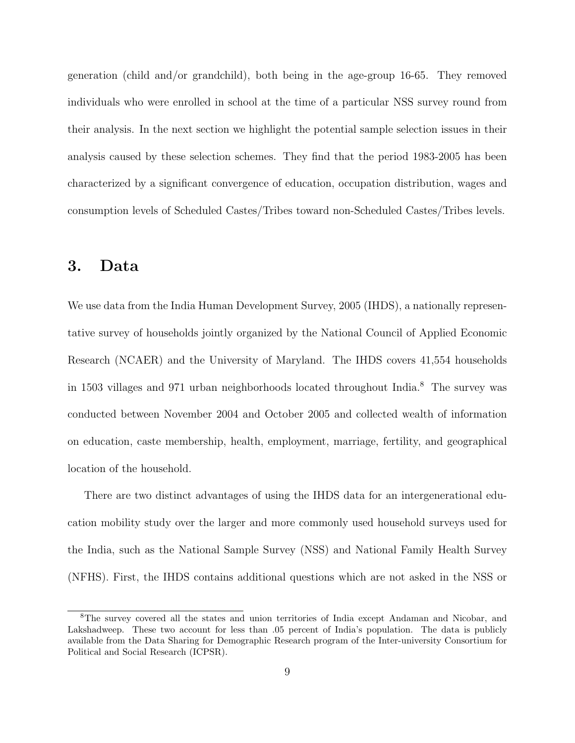generation (child and/or grandchild), both being in the age-group 16-65. They removed individuals who were enrolled in school at the time of a particular NSS survey round from their analysis. In the next section we highlight the potential sample selection issues in their analysis caused by these selection schemes. They find that the period 1983-2005 has been characterized by a significant convergence of education, occupation distribution, wages and consumption levels of Scheduled Castes/Tribes toward non-Scheduled Castes/Tribes levels.

# 3. Data

We use data from the India Human Development Survey, 2005 (IHDS), a nationally representative survey of households jointly organized by the National Council of Applied Economic Research (NCAER) and the University of Maryland. The IHDS covers 41,554 households in 1503 villages and 971 urban neighborhoods located throughout India.<sup>8</sup> The survey was conducted between November 2004 and October 2005 and collected wealth of information on education, caste membership, health, employment, marriage, fertility, and geographical location of the household.

There are two distinct advantages of using the IHDS data for an intergenerational education mobility study over the larger and more commonly used household surveys used for the India, such as the National Sample Survey (NSS) and National Family Health Survey (NFHS). First, the IHDS contains additional questions which are not asked in the NSS or

<sup>8</sup>The survey covered all the states and union territories of India except Andaman and Nicobar, and Lakshadweep. These two account for less than .05 percent of India's population. The data is publicly available from the Data Sharing for Demographic Research program of the Inter-university Consortium for Political and Social Research (ICPSR).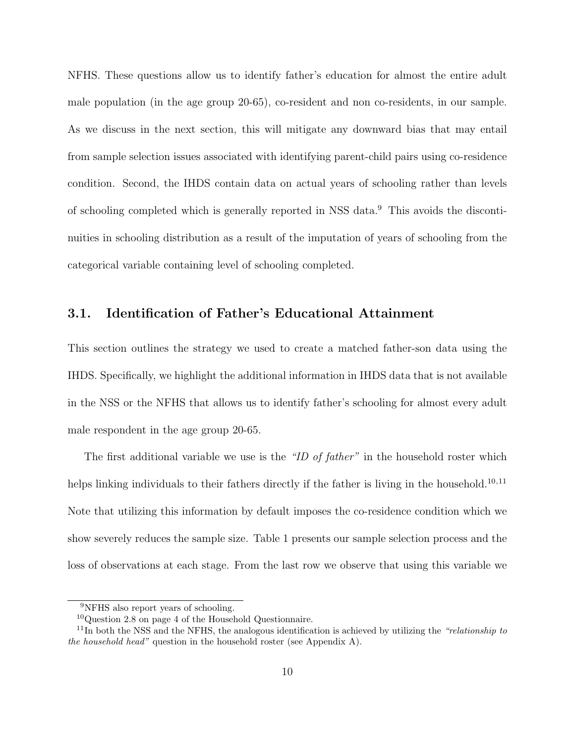NFHS. These questions allow us to identify father's education for almost the entire adult male population (in the age group 20-65), co-resident and non co-residents, in our sample. As we discuss in the next section, this will mitigate any downward bias that may entail from sample selection issues associated with identifying parent-child pairs using co-residence condition. Second, the IHDS contain data on actual years of schooling rather than levels of schooling completed which is generally reported in NSS data.<sup>9</sup> This avoids the discontinuities in schooling distribution as a result of the imputation of years of schooling from the categorical variable containing level of schooling completed.

### 3.1. Identification of Father's Educational Attainment

This section outlines the strategy we used to create a matched father-son data using the IHDS. Specifically, we highlight the additional information in IHDS data that is not available in the NSS or the NFHS that allows us to identify father's schooling for almost every adult male respondent in the age group 20-65.

The first additional variable we use is the "ID of father" in the household roster which helps linking individuals to their fathers directly if the father is living in the household.<sup>10,11</sup> Note that utilizing this information by default imposes the co-residence condition which we show severely reduces the sample size. Table 1 presents our sample selection process and the loss of observations at each stage. From the last row we observe that using this variable we

<sup>&</sup>lt;sup>9</sup>NFHS also report years of schooling.

 $10$ Question 2.8 on page 4 of the Household Questionnaire.

 $11$ In both the NSS and the NFHS, the analogous identification is achieved by utilizing the "relationship to the household head" question in the household roster (see Appendix A).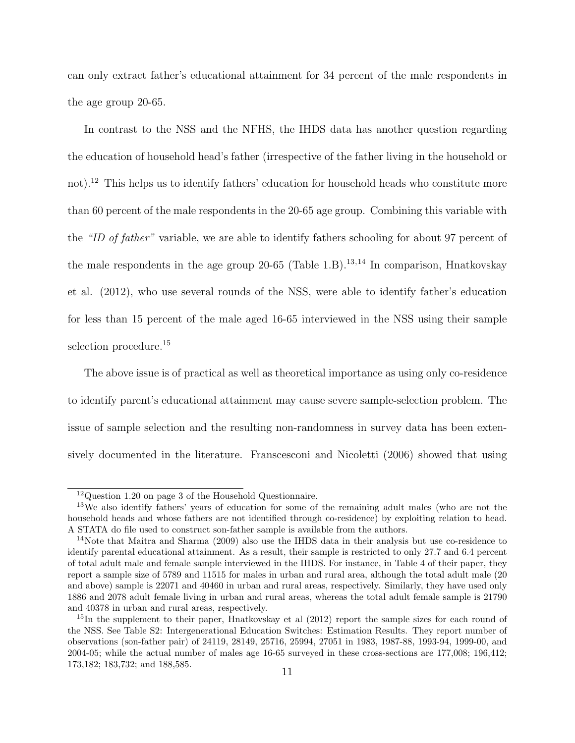can only extract father's educational attainment for 34 percent of the male respondents in the age group 20-65.

In contrast to the NSS and the NFHS, the IHDS data has another question regarding the education of household head's father (irrespective of the father living in the household or not).<sup>12</sup> This helps us to identify fathers' education for household heads who constitute more than 60 percent of the male respondents in the 20-65 age group. Combining this variable with the "ID of father" variable, we are able to identify fathers schooling for about 97 percent of the male respondents in the age group  $20-65$  (Table 1.B).<sup>13,14</sup> In comparison, Hnatkovskay et al. (2012), who use several rounds of the NSS, were able to identify father's education for less than 15 percent of the male aged 16-65 interviewed in the NSS using their sample selection procedure.<sup>15</sup>

The above issue is of practical as well as theoretical importance as using only co-residence to identify parent's educational attainment may cause severe sample-selection problem. The issue of sample selection and the resulting non-randomness in survey data has been extensively documented in the literature. Franscesconi and Nicoletti (2006) showed that using

<sup>12</sup>Question 1.20 on page 3 of the Household Questionnaire.

<sup>13</sup>We also identify fathers' years of education for some of the remaining adult males (who are not the household heads and whose fathers are not identified through co-residence) by exploiting relation to head. A STATA do file used to construct son-father sample is available from the authors.

<sup>&</sup>lt;sup>14</sup>Note that Maitra and Sharma (2009) also use the IHDS data in their analysis but use co-residence to identify parental educational attainment. As a result, their sample is restricted to only 27.7 and 6.4 percent of total adult male and female sample interviewed in the IHDS. For instance, in Table 4 of their paper, they report a sample size of 5789 and 11515 for males in urban and rural area, although the total adult male (20 and above) sample is 22071 and 40460 in urban and rural areas, respectively. Similarly, they have used only 1886 and 2078 adult female living in urban and rural areas, whereas the total adult female sample is 21790 and 40378 in urban and rural areas, respectively.

<sup>&</sup>lt;sup>15</sup>In the supplement to their paper, Hnatkovskay et al (2012) report the sample sizes for each round of the NSS. See Table S2: Intergenerational Education Switches: Estimation Results. They report number of observations (son-father pair) of 24119, 28149, 25716, 25994, 27051 in 1983, 1987-88, 1993-94, 1999-00, and 2004-05; while the actual number of males age 16-65 surveyed in these cross-sections are 177,008; 196,412; 173,182; 183,732; and 188,585.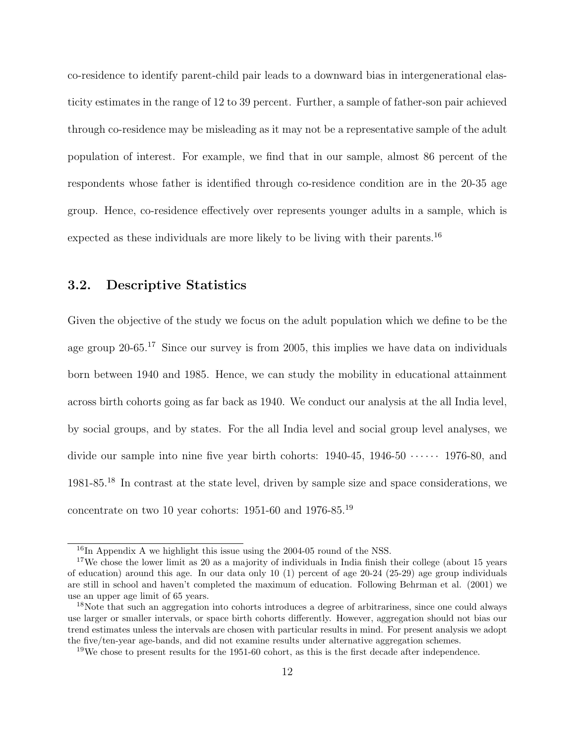co-residence to identify parent-child pair leads to a downward bias in intergenerational elasticity estimates in the range of 12 to 39 percent. Further, a sample of father-son pair achieved through co-residence may be misleading as it may not be a representative sample of the adult population of interest. For example, we find that in our sample, almost 86 percent of the respondents whose father is identified through co-residence condition are in the 20-35 age group. Hence, co-residence effectively over represents younger adults in a sample, which is expected as these individuals are more likely to be living with their parents.<sup>16</sup>

### 3.2. Descriptive Statistics

Given the objective of the study we focus on the adult population which we define to be the age group 20-65.<sup>17</sup> Since our survey is from 2005, this implies we have data on individuals born between 1940 and 1985. Hence, we can study the mobility in educational attainment across birth cohorts going as far back as 1940. We conduct our analysis at the all India level, by social groups, and by states. For the all India level and social group level analyses, we divide our sample into nine five year birth cohorts:  $1940-45$ ,  $1946-50$   $\cdots$   $1976-80$ , and 1981-85.<sup>18</sup> In contrast at the state level, driven by sample size and space considerations, we concentrate on two 10 year cohorts: 1951-60 and 1976-85.<sup>19</sup>

 $^{16}$ In Appendix A we highlight this issue using the 2004-05 round of the NSS.

<sup>&</sup>lt;sup>17</sup>We chose the lower limit as 20 as a majority of individuals in India finish their college (about 15 years of education) around this age. In our data only 10 (1) percent of age 20-24 (25-29) age group individuals are still in school and haven't completed the maximum of education. Following Behrman et al. (2001) we use an upper age limit of 65 years.

<sup>&</sup>lt;sup>18</sup>Note that such an aggregation into cohorts introduces a degree of arbitrariness, since one could always use larger or smaller intervals, or space birth cohorts differently. However, aggregation should not bias our trend estimates unless the intervals are chosen with particular results in mind. For present analysis we adopt the five/ten-year age-bands, and did not examine results under alternative aggregation schemes.

 $19$ We chose to present results for the 1951-60 cohort, as this is the first decade after independence.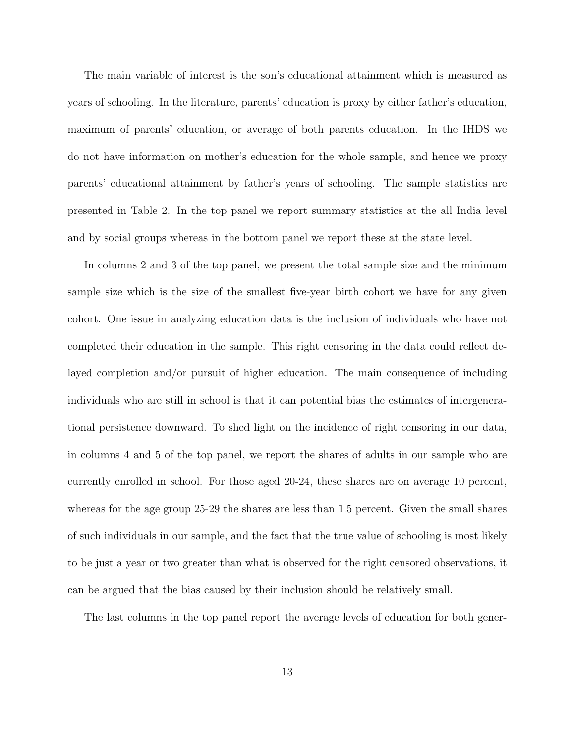The main variable of interest is the son's educational attainment which is measured as years of schooling. In the literature, parents' education is proxy by either father's education, maximum of parents' education, or average of both parents education. In the IHDS we do not have information on mother's education for the whole sample, and hence we proxy parents' educational attainment by father's years of schooling. The sample statistics are presented in Table 2. In the top panel we report summary statistics at the all India level and by social groups whereas in the bottom panel we report these at the state level.

In columns 2 and 3 of the top panel, we present the total sample size and the minimum sample size which is the size of the smallest five-year birth cohort we have for any given cohort. One issue in analyzing education data is the inclusion of individuals who have not completed their education in the sample. This right censoring in the data could reflect delayed completion and/or pursuit of higher education. The main consequence of including individuals who are still in school is that it can potential bias the estimates of intergenerational persistence downward. To shed light on the incidence of right censoring in our data, in columns 4 and 5 of the top panel, we report the shares of adults in our sample who are currently enrolled in school. For those aged 20-24, these shares are on average 10 percent, whereas for the age group 25-29 the shares are less than 1.5 percent. Given the small shares of such individuals in our sample, and the fact that the true value of schooling is most likely to be just a year or two greater than what is observed for the right censored observations, it can be argued that the bias caused by their inclusion should be relatively small.

The last columns in the top panel report the average levels of education for both gener-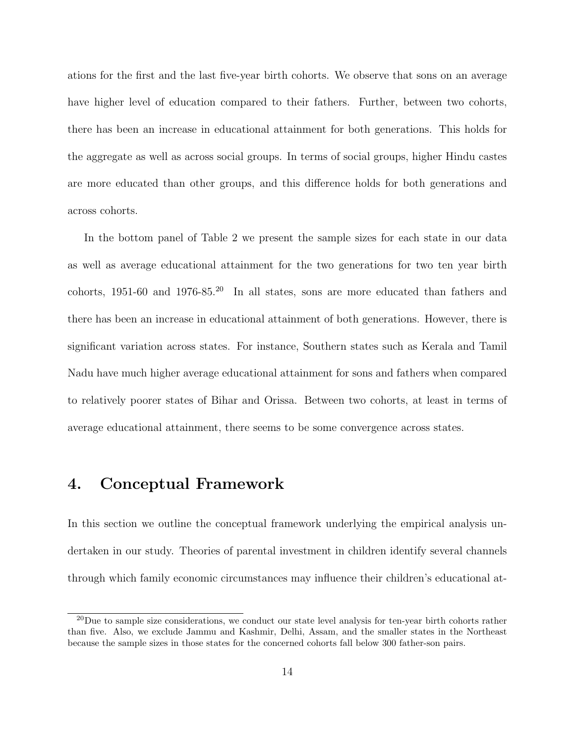ations for the first and the last five-year birth cohorts. We observe that sons on an average have higher level of education compared to their fathers. Further, between two cohorts, there has been an increase in educational attainment for both generations. This holds for the aggregate as well as across social groups. In terms of social groups, higher Hindu castes are more educated than other groups, and this difference holds for both generations and across cohorts.

In the bottom panel of Table 2 we present the sample sizes for each state in our data as well as average educational attainment for the two generations for two ten year birth cohorts, 1951-60 and 1976-85.<sup>20</sup> In all states, sons are more educated than fathers and there has been an increase in educational attainment of both generations. However, there is significant variation across states. For instance, Southern states such as Kerala and Tamil Nadu have much higher average educational attainment for sons and fathers when compared to relatively poorer states of Bihar and Orissa. Between two cohorts, at least in terms of average educational attainment, there seems to be some convergence across states.

# 4. Conceptual Framework

In this section we outline the conceptual framework underlying the empirical analysis undertaken in our study. Theories of parental investment in children identify several channels through which family economic circumstances may influence their children's educational at-

 $^{20}$ Due to sample size considerations, we conduct our state level analysis for ten-year birth cohorts rather than five. Also, we exclude Jammu and Kashmir, Delhi, Assam, and the smaller states in the Northeast because the sample sizes in those states for the concerned cohorts fall below 300 father-son pairs.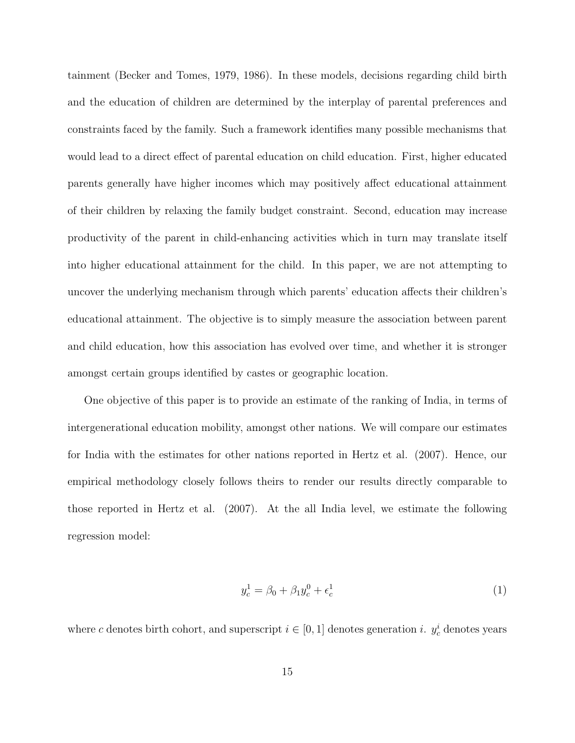tainment (Becker and Tomes, 1979, 1986). In these models, decisions regarding child birth and the education of children are determined by the interplay of parental preferences and constraints faced by the family. Such a framework identifies many possible mechanisms that would lead to a direct effect of parental education on child education. First, higher educated parents generally have higher incomes which may positively affect educational attainment of their children by relaxing the family budget constraint. Second, education may increase productivity of the parent in child-enhancing activities which in turn may translate itself into higher educational attainment for the child. In this paper, we are not attempting to uncover the underlying mechanism through which parents' education affects their children's educational attainment. The objective is to simply measure the association between parent and child education, how this association has evolved over time, and whether it is stronger amongst certain groups identified by castes or geographic location.

One objective of this paper is to provide an estimate of the ranking of India, in terms of intergenerational education mobility, amongst other nations. We will compare our estimates for India with the estimates for other nations reported in Hertz et al. (2007). Hence, our empirical methodology closely follows theirs to render our results directly comparable to those reported in Hertz et al. (2007). At the all India level, we estimate the following regression model:

$$
y_c^1 = \beta_0 + \beta_1 y_c^0 + \epsilon_c^1 \tag{1}
$$

where c denotes birth cohort, and superscript  $i \in [0, 1]$  denotes generation i.  $y_c^i$  denotes years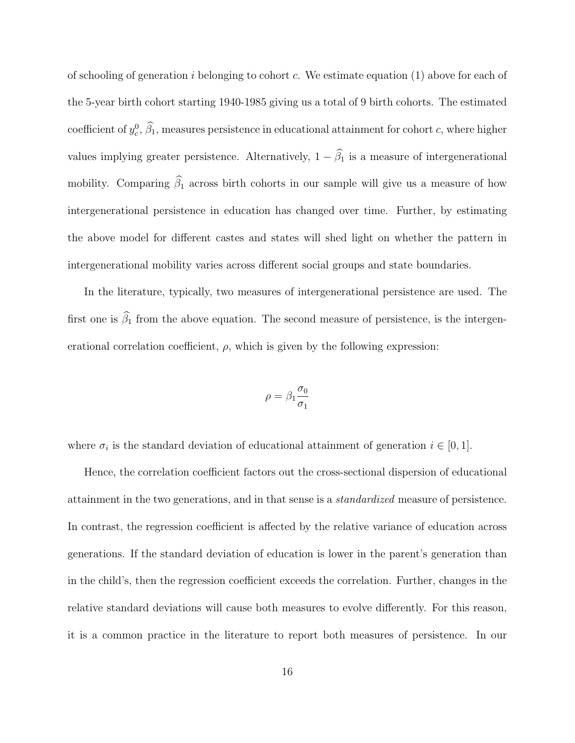of schooling of generation i belonging to cohort c. We estimate equation  $(1)$  above for each of the 5-year birth cohort starting 1940-1985 giving us a total of 9 birth cohorts. The estimated coefficient of  $y_c^0$ ,  $\hat{\beta}_1$ , measures persistence in educational attainment for cohort c, where higher values implying greater persistence. Alternatively,  $1 - \hat{\beta}_1$  is a measure of intergenerational mobility. Comparing  $\widehat{\beta}_1$  across birth cohorts in our sample will give us a measure of how intergenerational persistence in education has changed over time. Further, by estimating the above model for different castes and states will shed light on whether the pattern in intergenerational mobility varies across different social groups and state boundaries.

In the literature, typically, two measures of intergenerational persistence are used. The first one is  $\widehat{\beta}_1$  from the above equation. The second measure of persistence, is the intergenerational correlation coefficient,  $\rho$ , which is given by the following expression:

$$
\rho=\beta_1\frac{\sigma_0}{\sigma_1}
$$

where  $\sigma_i$  is the standard deviation of educational attainment of generation  $i \in [0, 1]$ .

Hence, the correlation coefficient factors out the cross-sectional dispersion of educational attainment in the two generations, and in that sense is a standardized measure of persistence. In contrast, the regression coefficient is affected by the relative variance of education across generations. If the standard deviation of education is lower in the parent's generation than in the child's, then the regression coefficient exceeds the correlation. Further, changes in the relative standard deviations will cause both measures to evolve differently. For this reason, it is a common practice in the literature to report both measures of persistence. In our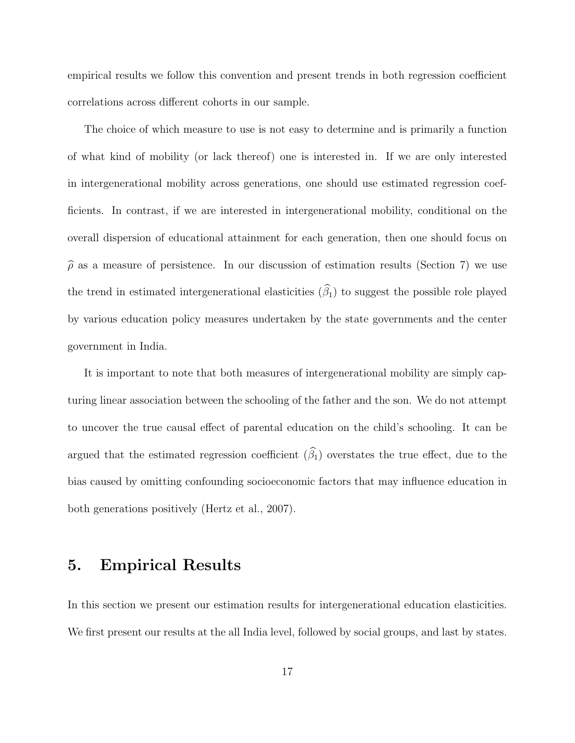empirical results we follow this convention and present trends in both regression coefficient correlations across different cohorts in our sample.

The choice of which measure to use is not easy to determine and is primarily a function of what kind of mobility (or lack thereof) one is interested in. If we are only interested in intergenerational mobility across generations, one should use estimated regression coefficients. In contrast, if we are interested in intergenerational mobility, conditional on the overall dispersion of educational attainment for each generation, then one should focus on  $\hat{\rho}$  as a measure of persistence. In our discussion of estimation results (Section 7) we use the trend in estimated intergenerational elasticities  $(\widehat{\beta}_1)$  to suggest the possible role played by various education policy measures undertaken by the state governments and the center government in India.

It is important to note that both measures of intergenerational mobility are simply capturing linear association between the schooling of the father and the son. We do not attempt to uncover the true causal effect of parental education on the child's schooling. It can be argued that the estimated regression coefficient  $(\widehat{\beta}_1)$  overstates the true effect, due to the bias caused by omitting confounding socioeconomic factors that may influence education in both generations positively (Hertz et al., 2007).

## 5. Empirical Results

In this section we present our estimation results for intergenerational education elasticities. We first present our results at the all India level, followed by social groups, and last by states.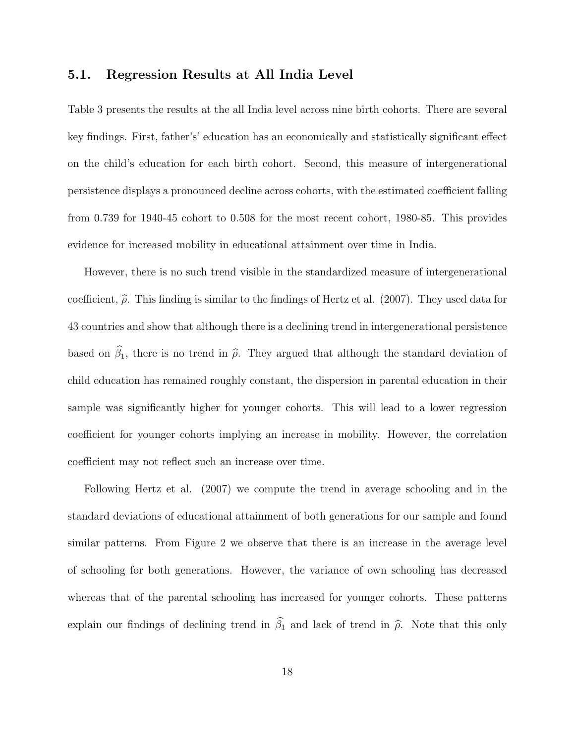### 5.1. Regression Results at All India Level

Table 3 presents the results at the all India level across nine birth cohorts. There are several key findings. First, father's' education has an economically and statistically significant effect on the child's education for each birth cohort. Second, this measure of intergenerational persistence displays a pronounced decline across cohorts, with the estimated coefficient falling from 0.739 for 1940-45 cohort to 0.508 for the most recent cohort, 1980-85. This provides evidence for increased mobility in educational attainment over time in India.

However, there is no such trend visible in the standardized measure of intergenerational coefficient,  $\hat{\rho}$ . This finding is similar to the findings of Hertz et al. (2007). They used data for 43 countries and show that although there is a declining trend in intergenerational persistence based on  $\hat{\beta}_1$ , there is no trend in  $\hat{\rho}$ . They argued that although the standard deviation of child education has remained roughly constant, the dispersion in parental education in their sample was significantly higher for younger cohorts. This will lead to a lower regression coefficient for younger cohorts implying an increase in mobility. However, the correlation coefficient may not reflect such an increase over time.

Following Hertz et al. (2007) we compute the trend in average schooling and in the standard deviations of educational attainment of both generations for our sample and found similar patterns. From Figure 2 we observe that there is an increase in the average level of schooling for both generations. However, the variance of own schooling has decreased whereas that of the parental schooling has increased for younger cohorts. These patterns explain our findings of declining trend in  $\hat{\beta}_1$  and lack of trend in  $\hat{\rho}$ . Note that this only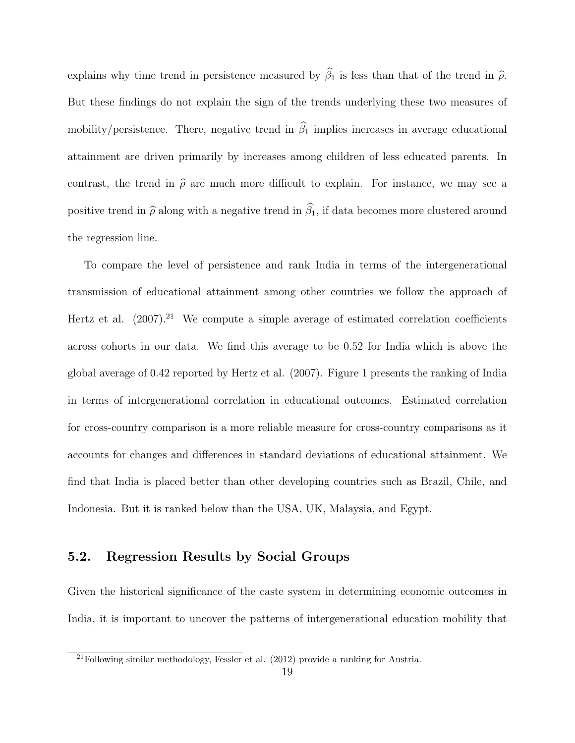explains why time trend in persistence measured by  $\hat{\beta}_1$  is less than that of the trend in  $\hat{\rho}$ . But these findings do not explain the sign of the trends underlying these two measures of mobility/persistence. There, negative trend in  $\hat{\beta}_1$  implies increases in average educational attainment are driven primarily by increases among children of less educated parents. In contrast, the trend in  $\hat{\rho}$  are much more difficult to explain. For instance, we may see a positive trend in  $\hat{\rho}$  along with a negative trend in  $\hat{\beta}_1$ , if data becomes more clustered around the regression line.

To compare the level of persistence and rank India in terms of the intergenerational transmission of educational attainment among other countries we follow the approach of Hertz et al.  $(2007).^{21}$  We compute a simple average of estimated correlation coefficients across cohorts in our data. We find this average to be 0.52 for India which is above the global average of 0.42 reported by Hertz et al. (2007). Figure 1 presents the ranking of India in terms of intergenerational correlation in educational outcomes. Estimated correlation for cross-country comparison is a more reliable measure for cross-country comparisons as it accounts for changes and differences in standard deviations of educational attainment. We find that India is placed better than other developing countries such as Brazil, Chile, and Indonesia. But it is ranked below than the USA, UK, Malaysia, and Egypt.

### 5.2. Regression Results by Social Groups

Given the historical significance of the caste system in determining economic outcomes in India, it is important to uncover the patterns of intergenerational education mobility that

<sup>&</sup>lt;sup>21</sup>Following similar methodology, Fessler et al. (2012) provide a ranking for Austria.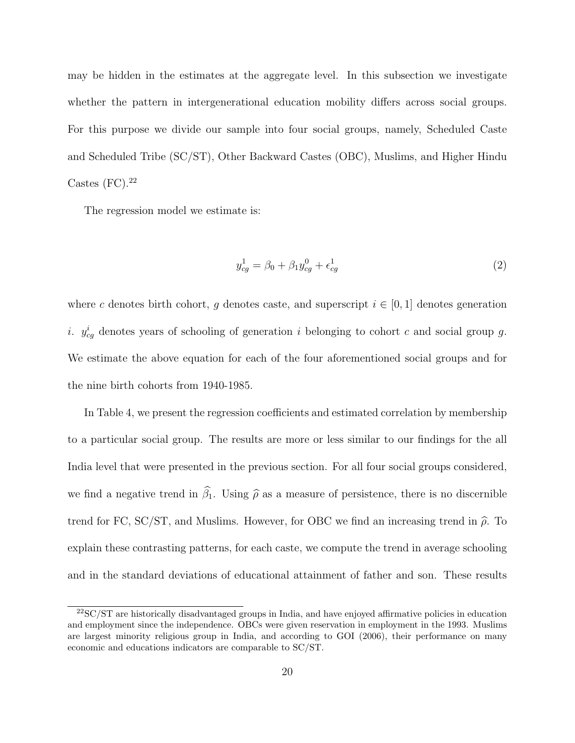may be hidden in the estimates at the aggregate level. In this subsection we investigate whether the pattern in intergenerational education mobility differs across social groups. For this purpose we divide our sample into four social groups, namely, Scheduled Caste and Scheduled Tribe (SC/ST), Other Backward Castes (OBC), Muslims, and Higher Hindu Castes  $(FC).^{22}$ 

The regression model we estimate is:

$$
y_{cg}^1 = \beta_0 + \beta_1 y_{cg}^0 + \epsilon_{cg}^1 \tag{2}
$$

where c denotes birth cohort, q denotes caste, and superscript  $i \in [0,1]$  denotes generation *i.*  $y_{cg}^i$  denotes years of schooling of generation *i* belonging to cohort *c* and social group *g*. We estimate the above equation for each of the four aforementioned social groups and for the nine birth cohorts from 1940-1985.

In Table 4, we present the regression coefficients and estimated correlation by membership to a particular social group. The results are more or less similar to our findings for the all India level that were presented in the previous section. For all four social groups considered, we find a negative trend in  $\hat{\beta}_1$ . Using  $\hat{\rho}$  as a measure of persistence, there is no discernible trend for FC, SC/ST, and Muslims. However, for OBC we find an increasing trend in  $\hat{\rho}$ . To explain these contrasting patterns, for each caste, we compute the trend in average schooling and in the standard deviations of educational attainment of father and son. These results

<sup>22</sup>SC/ST are historically disadvantaged groups in India, and have enjoyed affirmative policies in education and employment since the independence. OBCs were given reservation in employment in the 1993. Muslims are largest minority religious group in India, and according to GOI (2006), their performance on many economic and educations indicators are comparable to SC/ST.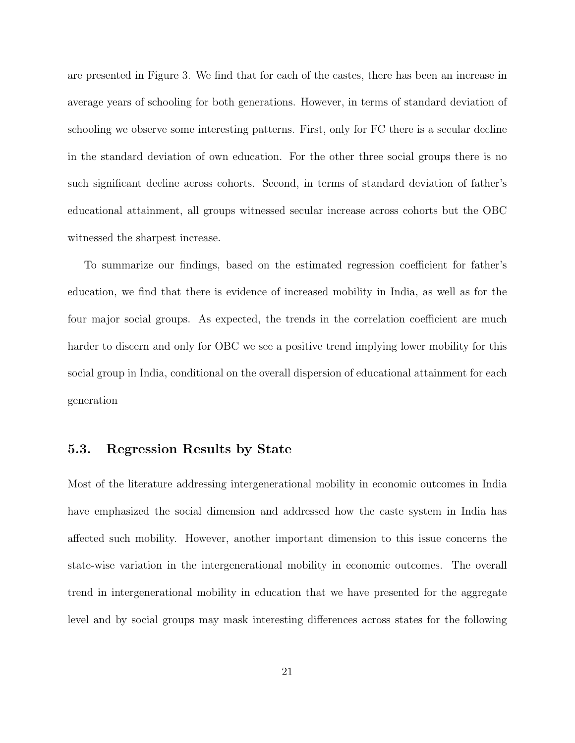are presented in Figure 3. We find that for each of the castes, there has been an increase in average years of schooling for both generations. However, in terms of standard deviation of schooling we observe some interesting patterns. First, only for FC there is a secular decline in the standard deviation of own education. For the other three social groups there is no such significant decline across cohorts. Second, in terms of standard deviation of father's educational attainment, all groups witnessed secular increase across cohorts but the OBC witnessed the sharpest increase.

To summarize our findings, based on the estimated regression coefficient for father's education, we find that there is evidence of increased mobility in India, as well as for the four major social groups. As expected, the trends in the correlation coefficient are much harder to discern and only for OBC we see a positive trend implying lower mobility for this social group in India, conditional on the overall dispersion of educational attainment for each generation

#### 5.3. Regression Results by State

Most of the literature addressing intergenerational mobility in economic outcomes in India have emphasized the social dimension and addressed how the caste system in India has affected such mobility. However, another important dimension to this issue concerns the state-wise variation in the intergenerational mobility in economic outcomes. The overall trend in intergenerational mobility in education that we have presented for the aggregate level and by social groups may mask interesting differences across states for the following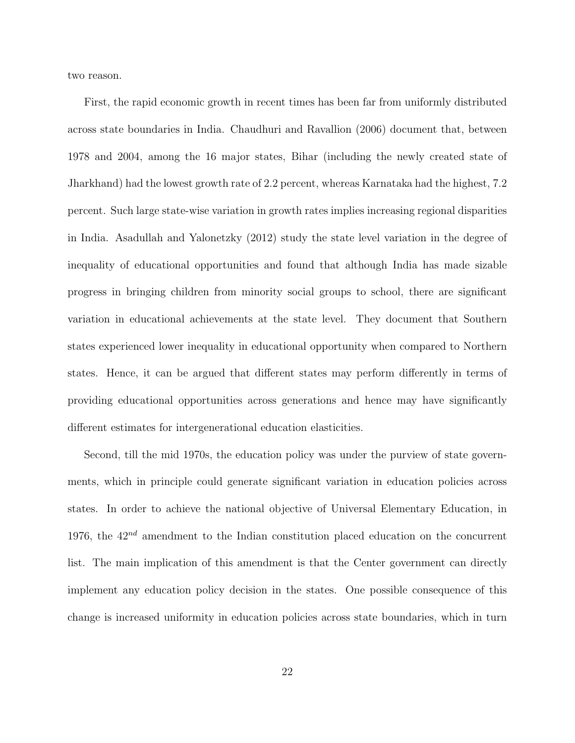two reason.

First, the rapid economic growth in recent times has been far from uniformly distributed across state boundaries in India. Chaudhuri and Ravallion (2006) document that, between 1978 and 2004, among the 16 major states, Bihar (including the newly created state of Jharkhand) had the lowest growth rate of 2.2 percent, whereas Karnataka had the highest, 7.2 percent. Such large state-wise variation in growth rates implies increasing regional disparities in India. Asadullah and Yalonetzky (2012) study the state level variation in the degree of inequality of educational opportunities and found that although India has made sizable progress in bringing children from minority social groups to school, there are significant variation in educational achievements at the state level. They document that Southern states experienced lower inequality in educational opportunity when compared to Northern states. Hence, it can be argued that different states may perform differently in terms of providing educational opportunities across generations and hence may have significantly different estimates for intergenerational education elasticities.

Second, till the mid 1970s, the education policy was under the purview of state governments, which in principle could generate significant variation in education policies across states. In order to achieve the national objective of Universal Elementary Education, in 1976, the  $42^{nd}$  amendment to the Indian constitution placed education on the concurrent list. The main implication of this amendment is that the Center government can directly implement any education policy decision in the states. One possible consequence of this change is increased uniformity in education policies across state boundaries, which in turn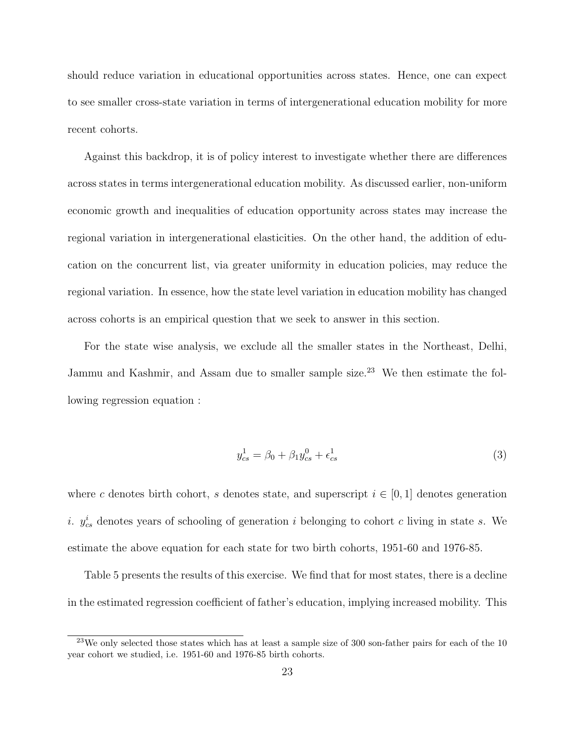should reduce variation in educational opportunities across states. Hence, one can expect to see smaller cross-state variation in terms of intergenerational education mobility for more recent cohorts.

Against this backdrop, it is of policy interest to investigate whether there are differences across states in terms intergenerational education mobility. As discussed earlier, non-uniform economic growth and inequalities of education opportunity across states may increase the regional variation in intergenerational elasticities. On the other hand, the addition of education on the concurrent list, via greater uniformity in education policies, may reduce the regional variation. In essence, how the state level variation in education mobility has changed across cohorts is an empirical question that we seek to answer in this section.

For the state wise analysis, we exclude all the smaller states in the Northeast, Delhi, Jammu and Kashmir, and Assam due to smaller sample size.<sup>23</sup> We then estimate the following regression equation :

$$
y_{cs}^1 = \beta_0 + \beta_1 y_{cs}^0 + \epsilon_{cs}^1 \tag{3}
$$

where c denotes birth cohort, s denotes state, and superscript  $i \in [0,1]$  denotes generation *i.*  $y_{cs}^i$  denotes years of schooling of generation *i* belonging to cohort *c* living in state *s*. We estimate the above equation for each state for two birth cohorts, 1951-60 and 1976-85.

Table 5 presents the results of this exercise. We find that for most states, there is a decline in the estimated regression coefficient of father's education, implying increased mobility. This

<sup>&</sup>lt;sup>23</sup>We only selected those states which has at least a sample size of 300 son-father pairs for each of the 10 year cohort we studied, i.e. 1951-60 and 1976-85 birth cohorts.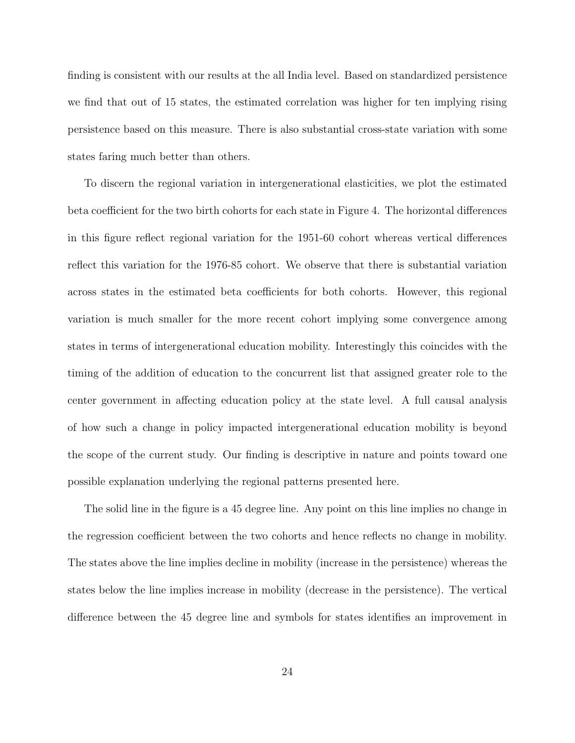finding is consistent with our results at the all India level. Based on standardized persistence we find that out of 15 states, the estimated correlation was higher for ten implying rising persistence based on this measure. There is also substantial cross-state variation with some states faring much better than others.

To discern the regional variation in intergenerational elasticities, we plot the estimated beta coefficient for the two birth cohorts for each state in Figure 4. The horizontal differences in this figure reflect regional variation for the 1951-60 cohort whereas vertical differences reflect this variation for the 1976-85 cohort. We observe that there is substantial variation across states in the estimated beta coefficients for both cohorts. However, this regional variation is much smaller for the more recent cohort implying some convergence among states in terms of intergenerational education mobility. Interestingly this coincides with the timing of the addition of education to the concurrent list that assigned greater role to the center government in affecting education policy at the state level. A full causal analysis of how such a change in policy impacted intergenerational education mobility is beyond the scope of the current study. Our finding is descriptive in nature and points toward one possible explanation underlying the regional patterns presented here.

The solid line in the figure is a 45 degree line. Any point on this line implies no change in the regression coefficient between the two cohorts and hence reflects no change in mobility. The states above the line implies decline in mobility (increase in the persistence) whereas the states below the line implies increase in mobility (decrease in the persistence). The vertical difference between the 45 degree line and symbols for states identifies an improvement in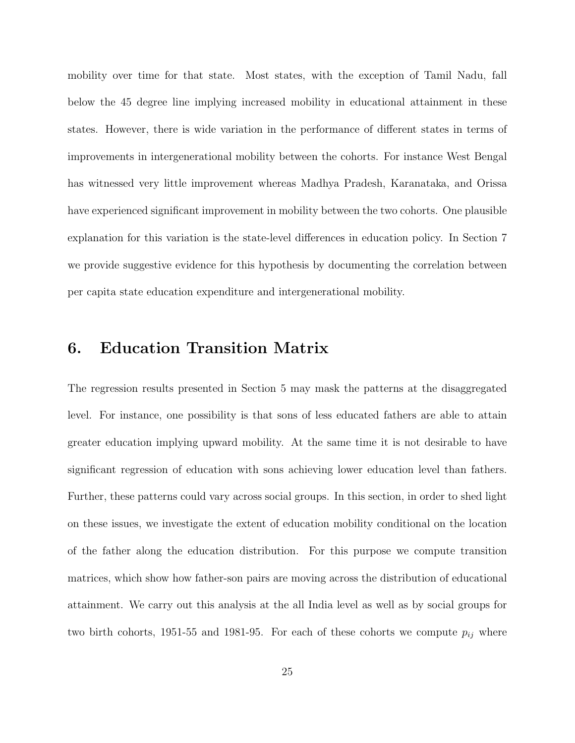mobility over time for that state. Most states, with the exception of Tamil Nadu, fall below the 45 degree line implying increased mobility in educational attainment in these states. However, there is wide variation in the performance of different states in terms of improvements in intergenerational mobility between the cohorts. For instance West Bengal has witnessed very little improvement whereas Madhya Pradesh, Karanataka, and Orissa have experienced significant improvement in mobility between the two cohorts. One plausible explanation for this variation is the state-level differences in education policy. In Section 7 we provide suggestive evidence for this hypothesis by documenting the correlation between per capita state education expenditure and intergenerational mobility.

## 6. Education Transition Matrix

The regression results presented in Section 5 may mask the patterns at the disaggregated level. For instance, one possibility is that sons of less educated fathers are able to attain greater education implying upward mobility. At the same time it is not desirable to have significant regression of education with sons achieving lower education level than fathers. Further, these patterns could vary across social groups. In this section, in order to shed light on these issues, we investigate the extent of education mobility conditional on the location of the father along the education distribution. For this purpose we compute transition matrices, which show how father-son pairs are moving across the distribution of educational attainment. We carry out this analysis at the all India level as well as by social groups for two birth cohorts, 1951-55 and 1981-95. For each of these cohorts we compute  $p_{ij}$  where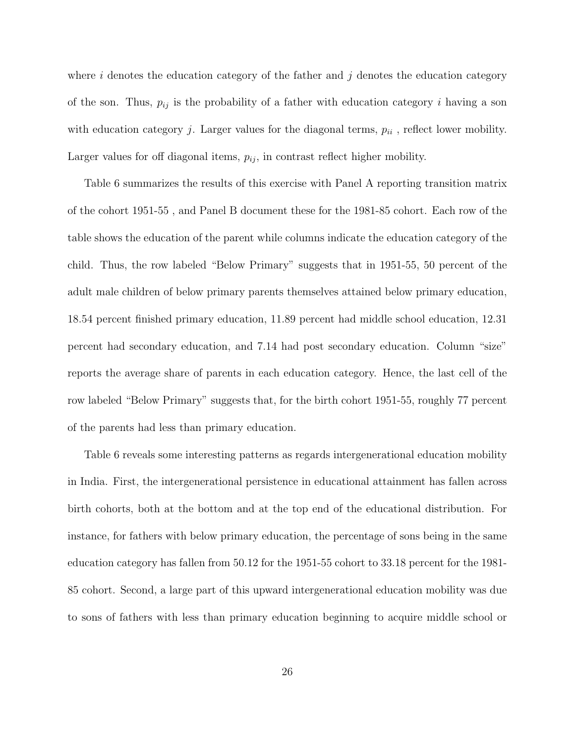where i denotes the education category of the father and j denotes the education category of the son. Thus,  $p_{ij}$  is the probability of a father with education category i having a son with education category  $j$ . Larger values for the diagonal terms,  $p_{ii}$ , reflect lower mobility. Larger values for off diagonal items,  $p_{ij}$ , in contrast reflect higher mobility.

Table 6 summarizes the results of this exercise with Panel A reporting transition matrix of the cohort 1951-55 , and Panel B document these for the 1981-85 cohort. Each row of the table shows the education of the parent while columns indicate the education category of the child. Thus, the row labeled "Below Primary" suggests that in 1951-55, 50 percent of the adult male children of below primary parents themselves attained below primary education, 18.54 percent finished primary education, 11.89 percent had middle school education, 12.31 percent had secondary education, and 7.14 had post secondary education. Column "size" reports the average share of parents in each education category. Hence, the last cell of the row labeled "Below Primary" suggests that, for the birth cohort 1951-55, roughly 77 percent of the parents had less than primary education.

Table 6 reveals some interesting patterns as regards intergenerational education mobility in India. First, the intergenerational persistence in educational attainment has fallen across birth cohorts, both at the bottom and at the top end of the educational distribution. For instance, for fathers with below primary education, the percentage of sons being in the same education category has fallen from 50.12 for the 1951-55 cohort to 33.18 percent for the 1981- 85 cohort. Second, a large part of this upward intergenerational education mobility was due to sons of fathers with less than primary education beginning to acquire middle school or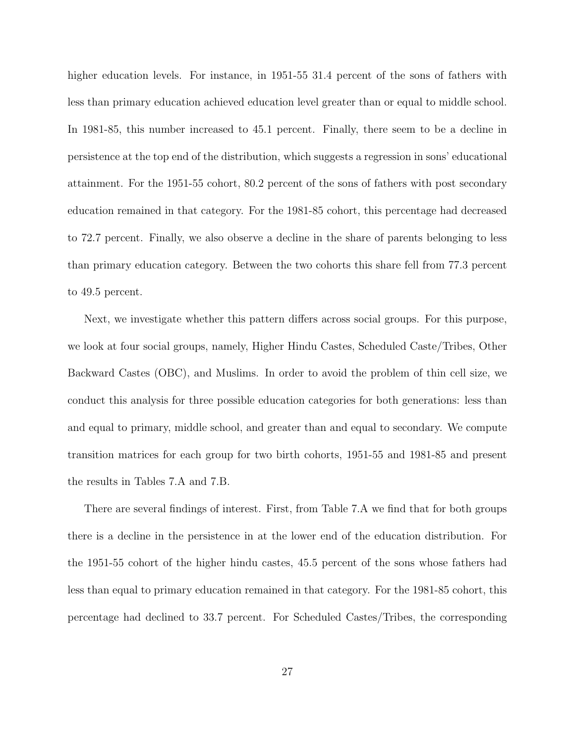higher education levels. For instance, in 1951-55 31.4 percent of the sons of fathers with less than primary education achieved education level greater than or equal to middle school. In 1981-85, this number increased to 45.1 percent. Finally, there seem to be a decline in persistence at the top end of the distribution, which suggests a regression in sons' educational attainment. For the 1951-55 cohort, 80.2 percent of the sons of fathers with post secondary education remained in that category. For the 1981-85 cohort, this percentage had decreased to 72.7 percent. Finally, we also observe a decline in the share of parents belonging to less than primary education category. Between the two cohorts this share fell from 77.3 percent to 49.5 percent.

Next, we investigate whether this pattern differs across social groups. For this purpose, we look at four social groups, namely, Higher Hindu Castes, Scheduled Caste/Tribes, Other Backward Castes (OBC), and Muslims. In order to avoid the problem of thin cell size, we conduct this analysis for three possible education categories for both generations: less than and equal to primary, middle school, and greater than and equal to secondary. We compute transition matrices for each group for two birth cohorts, 1951-55 and 1981-85 and present the results in Tables 7.A and 7.B.

There are several findings of interest. First, from Table 7.A we find that for both groups there is a decline in the persistence in at the lower end of the education distribution. For the 1951-55 cohort of the higher hindu castes, 45.5 percent of the sons whose fathers had less than equal to primary education remained in that category. For the 1981-85 cohort, this percentage had declined to 33.7 percent. For Scheduled Castes/Tribes, the corresponding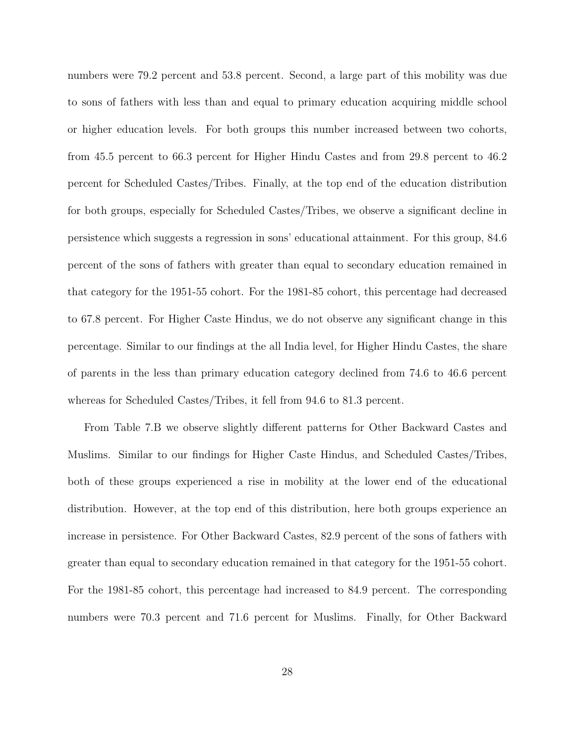numbers were 79.2 percent and 53.8 percent. Second, a large part of this mobility was due to sons of fathers with less than and equal to primary education acquiring middle school or higher education levels. For both groups this number increased between two cohorts, from 45.5 percent to 66.3 percent for Higher Hindu Castes and from 29.8 percent to 46.2 percent for Scheduled Castes/Tribes. Finally, at the top end of the education distribution for both groups, especially for Scheduled Castes/Tribes, we observe a significant decline in persistence which suggests a regression in sons' educational attainment. For this group, 84.6 percent of the sons of fathers with greater than equal to secondary education remained in that category for the 1951-55 cohort. For the 1981-85 cohort, this percentage had decreased to 67.8 percent. For Higher Caste Hindus, we do not observe any significant change in this percentage. Similar to our findings at the all India level, for Higher Hindu Castes, the share of parents in the less than primary education category declined from 74.6 to 46.6 percent whereas for Scheduled Castes/Tribes, it fell from 94.6 to 81.3 percent.

From Table 7.B we observe slightly different patterns for Other Backward Castes and Muslims. Similar to our findings for Higher Caste Hindus, and Scheduled Castes/Tribes, both of these groups experienced a rise in mobility at the lower end of the educational distribution. However, at the top end of this distribution, here both groups experience an increase in persistence. For Other Backward Castes, 82.9 percent of the sons of fathers with greater than equal to secondary education remained in that category for the 1951-55 cohort. For the 1981-85 cohort, this percentage had increased to 84.9 percent. The corresponding numbers were 70.3 percent and 71.6 percent for Muslims. Finally, for Other Backward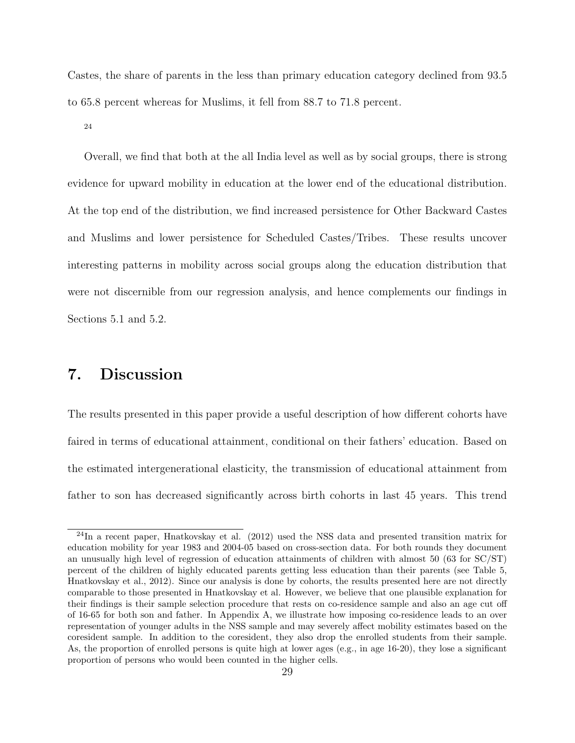Castes, the share of parents in the less than primary education category declined from 93.5 to 65.8 percent whereas for Muslims, it fell from 88.7 to 71.8 percent.

24

Overall, we find that both at the all India level as well as by social groups, there is strong evidence for upward mobility in education at the lower end of the educational distribution. At the top end of the distribution, we find increased persistence for Other Backward Castes and Muslims and lower persistence for Scheduled Castes/Tribes. These results uncover interesting patterns in mobility across social groups along the education distribution that were not discernible from our regression analysis, and hence complements our findings in Sections 5.1 and 5.2.

# 7. Discussion

The results presented in this paper provide a useful description of how different cohorts have faired in terms of educational attainment, conditional on their fathers' education. Based on the estimated intergenerational elasticity, the transmission of educational attainment from father to son has decreased significantly across birth cohorts in last 45 years. This trend

<sup>&</sup>lt;sup>24</sup>In a recent paper, Hnatkovskay et al. (2012) used the NSS data and presented transition matrix for education mobility for year 1983 and 2004-05 based on cross-section data. For both rounds they document an unusually high level of regression of education attainments of children with almost 50 (63 for SC/ST) percent of the children of highly educated parents getting less education than their parents (see Table 5, Hnatkovskay et al., 2012). Since our analysis is done by cohorts, the results presented here are not directly comparable to those presented in Hnatkovskay et al. However, we believe that one plausible explanation for their findings is their sample selection procedure that rests on co-residence sample and also an age cut off of 16-65 for both son and father. In Appendix A, we illustrate how imposing co-residence leads to an over representation of younger adults in the NSS sample and may severely affect mobility estimates based on the coresident sample. In addition to the coresident, they also drop the enrolled students from their sample. As, the proportion of enrolled persons is quite high at lower ages (e.g., in age 16-20), they lose a significant proportion of persons who would been counted in the higher cells.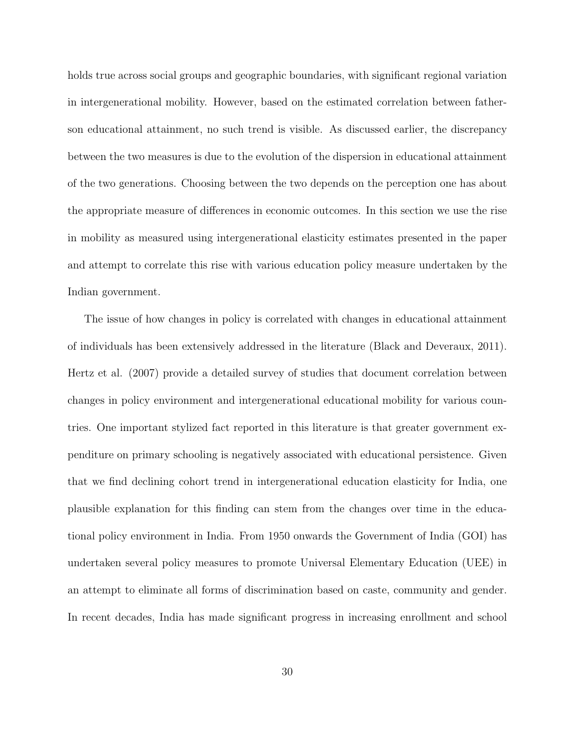holds true across social groups and geographic boundaries, with significant regional variation in intergenerational mobility. However, based on the estimated correlation between fatherson educational attainment, no such trend is visible. As discussed earlier, the discrepancy between the two measures is due to the evolution of the dispersion in educational attainment of the two generations. Choosing between the two depends on the perception one has about the appropriate measure of differences in economic outcomes. In this section we use the rise in mobility as measured using intergenerational elasticity estimates presented in the paper and attempt to correlate this rise with various education policy measure undertaken by the Indian government.

The issue of how changes in policy is correlated with changes in educational attainment of individuals has been extensively addressed in the literature (Black and Deveraux, 2011). Hertz et al. (2007) provide a detailed survey of studies that document correlation between changes in policy environment and intergenerational educational mobility for various countries. One important stylized fact reported in this literature is that greater government expenditure on primary schooling is negatively associated with educational persistence. Given that we find declining cohort trend in intergenerational education elasticity for India, one plausible explanation for this finding can stem from the changes over time in the educational policy environment in India. From 1950 onwards the Government of India (GOI) has undertaken several policy measures to promote Universal Elementary Education (UEE) in an attempt to eliminate all forms of discrimination based on caste, community and gender. In recent decades, India has made significant progress in increasing enrollment and school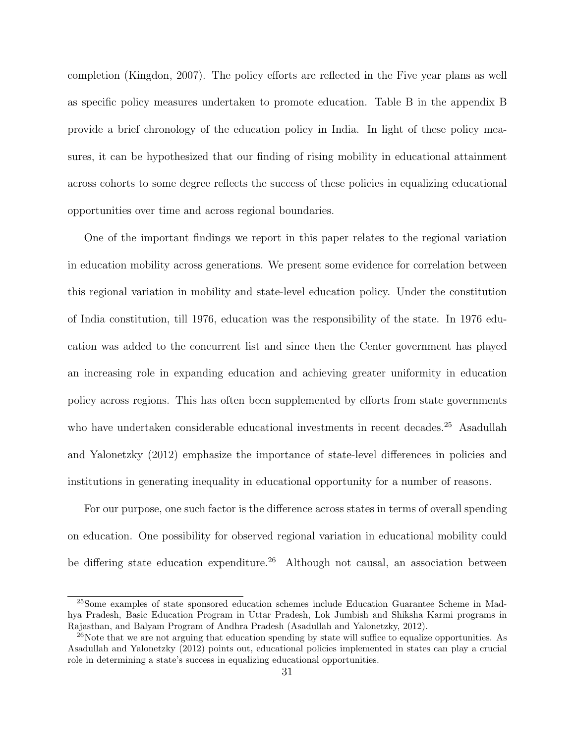completion (Kingdon, 2007). The policy efforts are reflected in the Five year plans as well as specific policy measures undertaken to promote education. Table B in the appendix B provide a brief chronology of the education policy in India. In light of these policy measures, it can be hypothesized that our finding of rising mobility in educational attainment across cohorts to some degree reflects the success of these policies in equalizing educational opportunities over time and across regional boundaries.

One of the important findings we report in this paper relates to the regional variation in education mobility across generations. We present some evidence for correlation between this regional variation in mobility and state-level education policy. Under the constitution of India constitution, till 1976, education was the responsibility of the state. In 1976 education was added to the concurrent list and since then the Center government has played an increasing role in expanding education and achieving greater uniformity in education policy across regions. This has often been supplemented by efforts from state governments who have undertaken considerable educational investments in recent decades.<sup>25</sup> Asadullah and Yalonetzky (2012) emphasize the importance of state-level differences in policies and institutions in generating inequality in educational opportunity for a number of reasons.

For our purpose, one such factor is the difference across states in terms of overall spending on education. One possibility for observed regional variation in educational mobility could be differing state education expenditure.<sup>26</sup> Although not causal, an association between

<sup>25</sup>Some examples of state sponsored education schemes include Education Guarantee Scheme in Madhya Pradesh, Basic Education Program in Uttar Pradesh, Lok Jumbish and Shiksha Karmi programs in Rajasthan, and Balyam Program of Andhra Pradesh (Asadullah and Yalonetzky, 2012).

 $^{26}$ Note that we are not arguing that education spending by state will suffice to equalize opportunities. As Asadullah and Yalonetzky (2012) points out, educational policies implemented in states can play a crucial role in determining a state's success in equalizing educational opportunities.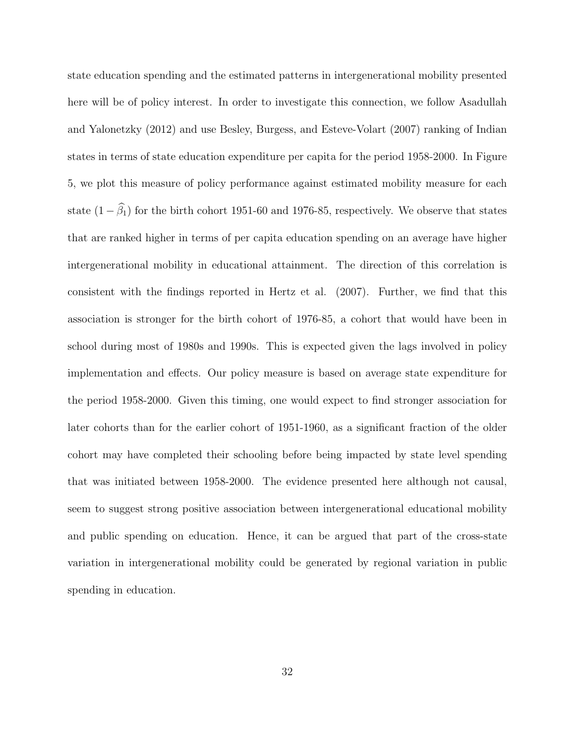state education spending and the estimated patterns in intergenerational mobility presented here will be of policy interest. In order to investigate this connection, we follow Asadullah and Yalonetzky (2012) and use Besley, Burgess, and Esteve-Volart (2007) ranking of Indian states in terms of state education expenditure per capita for the period 1958-2000. In Figure 5, we plot this measure of policy performance against estimated mobility measure for each state  $(1 - \hat{\beta}_1)$  for the birth cohort 1951-60 and 1976-85, respectively. We observe that states that are ranked higher in terms of per capita education spending on an average have higher intergenerational mobility in educational attainment. The direction of this correlation is consistent with the findings reported in Hertz et al. (2007). Further, we find that this association is stronger for the birth cohort of 1976-85, a cohort that would have been in school during most of 1980s and 1990s. This is expected given the lags involved in policy implementation and effects. Our policy measure is based on average state expenditure for the period 1958-2000. Given this timing, one would expect to find stronger association for later cohorts than for the earlier cohort of 1951-1960, as a significant fraction of the older cohort may have completed their schooling before being impacted by state level spending that was initiated between 1958-2000. The evidence presented here although not causal, seem to suggest strong positive association between intergenerational educational mobility and public spending on education. Hence, it can be argued that part of the cross-state variation in intergenerational mobility could be generated by regional variation in public spending in education.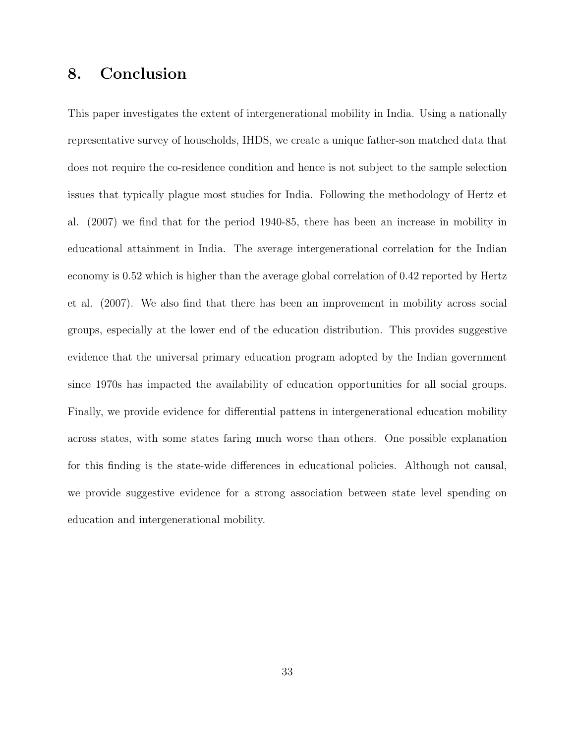# 8. Conclusion

This paper investigates the extent of intergenerational mobility in India. Using a nationally representative survey of households, IHDS, we create a unique father-son matched data that does not require the co-residence condition and hence is not subject to the sample selection issues that typically plague most studies for India. Following the methodology of Hertz et al. (2007) we find that for the period 1940-85, there has been an increase in mobility in educational attainment in India. The average intergenerational correlation for the Indian economy is 0.52 which is higher than the average global correlation of 0.42 reported by Hertz et al. (2007). We also find that there has been an improvement in mobility across social groups, especially at the lower end of the education distribution. This provides suggestive evidence that the universal primary education program adopted by the Indian government since 1970s has impacted the availability of education opportunities for all social groups. Finally, we provide evidence for differential pattens in intergenerational education mobility across states, with some states faring much worse than others. One possible explanation for this finding is the state-wide differences in educational policies. Although not causal, we provide suggestive evidence for a strong association between state level spending on education and intergenerational mobility.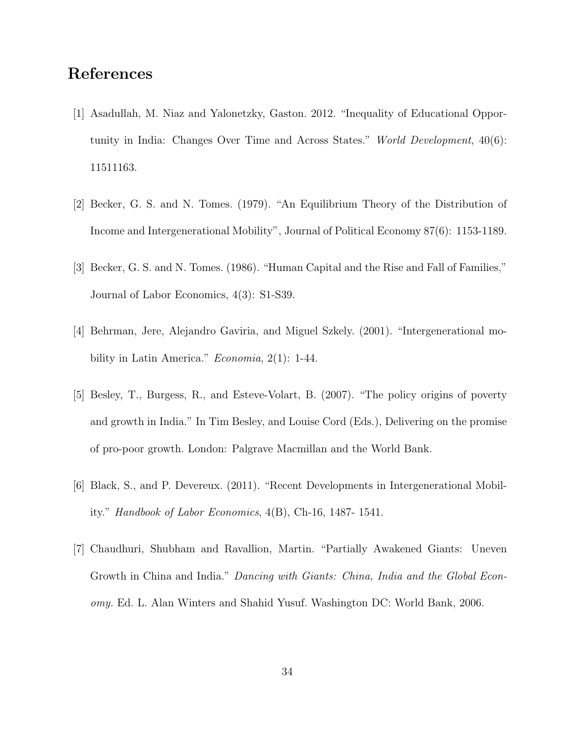# References

- [1] Asadullah, M. Niaz and Yalonetzky, Gaston. 2012. "Inequality of Educational Opportunity in India: Changes Over Time and Across States." World Development, 40(6): 11511163.
- [2] Becker, G. S. and N. Tomes. (1979). "An Equilibrium Theory of the Distribution of Income and Intergenerational Mobility", Journal of Political Economy 87(6): 1153-1189.
- [3] Becker, G. S. and N. Tomes. (1986). "Human Capital and the Rise and Fall of Families," Journal of Labor Economics, 4(3): S1-S39.
- [4] Behrman, Jere, Alejandro Gaviria, and Miguel Szkely. (2001). "Intergenerational mobility in Latin America."  $Economia$ ,  $2(1)$ : 1-44.
- [5] Besley, T., Burgess, R., and Esteve-Volart, B. (2007). "The policy origins of poverty and growth in India." In Tim Besley, and Louise Cord (Eds.), Delivering on the promise of pro-poor growth. London: Palgrave Macmillan and the World Bank.
- [6] Black, S., and P. Devereux. (2011). "Recent Developments in Intergenerational Mobility." Handbook of Labor Economics, 4(B), Ch-16, 1487- 1541.
- [7] Chaudhuri, Shubham and Ravallion, Martin. "Partially Awakened Giants: Uneven Growth in China and India." Dancing with Giants: China, India and the Global Economy. Ed. L. Alan Winters and Shahid Yusuf. Washington DC: World Bank, 2006.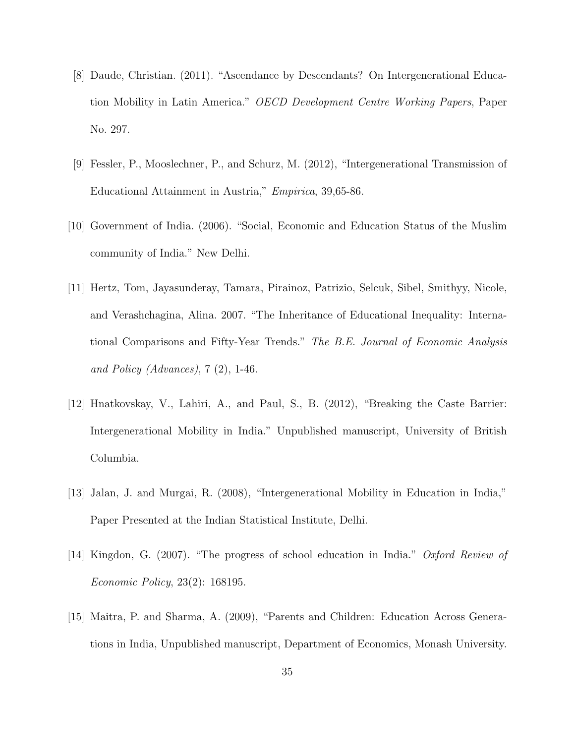- [8] Daude, Christian. (2011). "Ascendance by Descendants? On Intergenerational Education Mobility in Latin America." OECD Development Centre Working Papers, Paper No. 297.
- [9] Fessler, P., Mooslechner, P., and Schurz, M. (2012), "Intergenerational Transmission of Educational Attainment in Austria," Empirica, 39,65-86.
- [10] Government of India. (2006). "Social, Economic and Education Status of the Muslim community of India." New Delhi.
- [11] Hertz, Tom, Jayasunderay, Tamara, Pirainoz, Patrizio, Selcuk, Sibel, Smithyy, Nicole, and Verashchagina, Alina. 2007. "The Inheritance of Educational Inequality: International Comparisons and Fifty-Year Trends." The B.E. Journal of Economic Analysis and Policy (Advances),  $7(2)$ , 1-46.
- [12] Hnatkovskay, V., Lahiri, A., and Paul, S., B. (2012), "Breaking the Caste Barrier: Intergenerational Mobility in India." Unpublished manuscript, University of British Columbia.
- [13] Jalan, J. and Murgai, R. (2008), "Intergenerational Mobility in Education in India," Paper Presented at the Indian Statistical Institute, Delhi.
- [14] Kingdon, G. (2007). "The progress of school education in India." Oxford Review of Economic Policy, 23(2): 168195.
- [15] Maitra, P. and Sharma, A. (2009), "Parents and Children: Education Across Generations in India, Unpublished manuscript, Department of Economics, Monash University.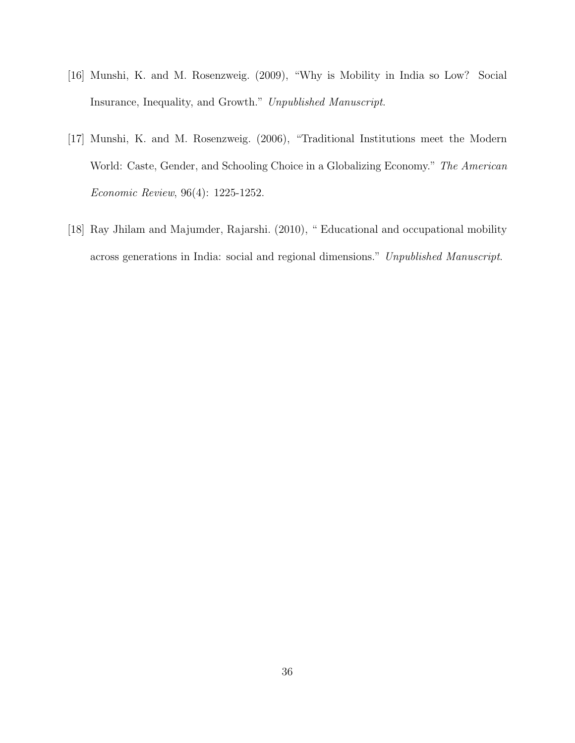- [16] Munshi, K. and M. Rosenzweig. (2009), "Why is Mobility in India so Low? Social Insurance, Inequality, and Growth." Unpublished Manuscript.
- [17] Munshi, K. and M. Rosenzweig. (2006), "Traditional Institutions meet the Modern World: Caste, Gender, and Schooling Choice in a Globalizing Economy." The American Economic Review, 96(4): 1225-1252.
- [18] Ray Jhilam and Majumder, Rajarshi. (2010), " Educational and occupational mobility across generations in India: social and regional dimensions." Unpublished Manuscript.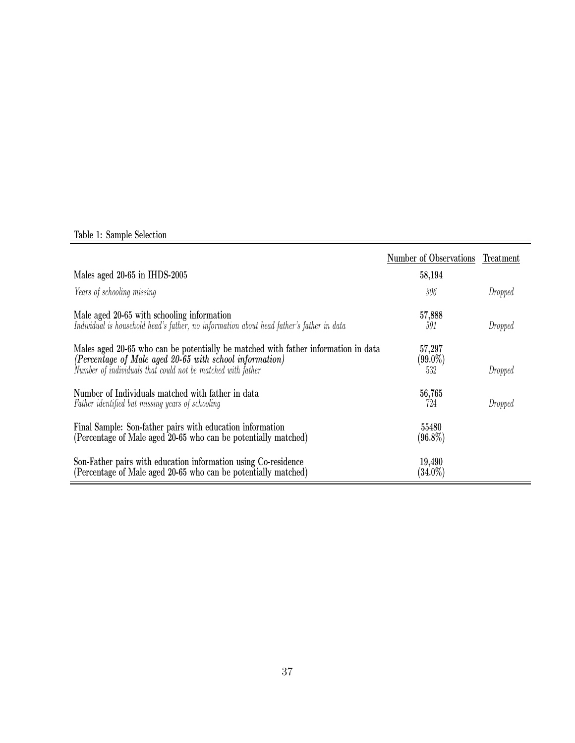### Table 1: Sample Selection

|                                                                                                                                                                                                              | Number of Observations      | Treatment |
|--------------------------------------------------------------------------------------------------------------------------------------------------------------------------------------------------------------|-----------------------------|-----------|
| Males aged 20-65 in IHDS-2005                                                                                                                                                                                | 58,194                      |           |
| Years of schooling missing                                                                                                                                                                                   | 306                         | Dropped   |
| Male aged 20-65 with schooling information<br>Individual is household head's father, no information about head father's father in data                                                                       | 57,888<br>591               | Dropped   |
| Males aged 20-65 who can be potentially be matched with father information in data<br>(Percentage of Male aged 20-65 with school information)<br>Number of individuals that could not be matched with father | 57,297<br>$(99.0\%)$<br>532 | Dropped   |
| Number of Individuals matched with father in data<br>Father identified but missing years of schooling                                                                                                        | 56,765<br>724               | Dropped   |
| Final Sample: Son-father pairs with education information<br>(Percentage of Male aged 20-65 who can be potentially matched)                                                                                  | 55480<br>$(96.8\%)$         |           |
| Son-Father pairs with education information using Co-residence<br>(Percentage of Male aged 20-65 who can be potentially matched)                                                                             | 19,490<br>$(34.0\%)$        |           |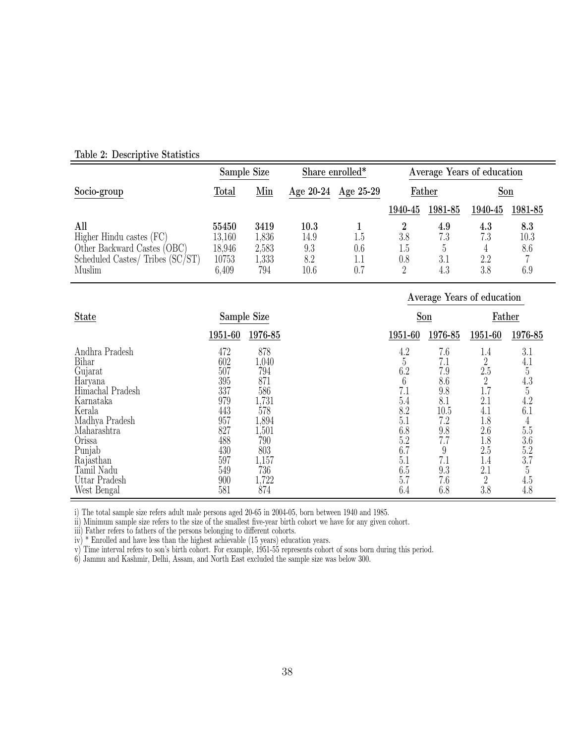|                                  | Sample Size |                            | Share enrolled* |           |         | Average Years of education |            |         |
|----------------------------------|-------------|----------------------------|-----------------|-----------|---------|----------------------------|------------|---------|
| Socio-group                      | Total       | $\underline{\mathrm{Min}}$ | Age $20-24$     | Age 25-29 | Father  |                            | <u>Son</u> |         |
|                                  |             |                            |                 |           | 1940-45 | 1981-85                    | 1940-45    | 1981-85 |
| All                              | 55450       | 3419                       | 10.3            |           |         | 4.9                        | $4.3\,$    | 8.3     |
| Higher Hindu castes (FC)         | 13,160      | 1,836                      | 14.9            | l.b       | 3.8     | 7.3                        | 7.3        | 10.3    |
| Other Backward Castes (OBC)      | 18,946      | 2,583                      | 9.3             | $0.6\,$   | 1.5     |                            |            | 8.6     |
| Scheduled Castes/ Tribes (SC/ST) | 10753       | 1,333                      | 8.2             |           | $0.8\,$ | 3.1                        | 2.2        |         |
| Muslim                           | 6,409       | 794                        | 10.6            | 0.7       |         | 4.3                        | 3.8        | 6.9     |

#### Table 2: Descriptive Statistics

|                  |             |                        | Average Years of education |
|------------------|-------------|------------------------|----------------------------|
| <b>State</b>     | Sample Size | Son                    | Father                     |
|                  | 1951-60     | 1976-85                | 1976-85                    |
|                  | 1976-85     | 1951-60                | 1951-60                    |
| Andhra Pradesh   | 472         | 7.6                    | 1.4                        |
|                  | 878         | 4.2                    | 3.1                        |
| Bihar            | 602         | $\overline{5}$         | $\overline{2}$             |
|                  | 1,040       | 7.1                    | 4.1                        |
| Gujarat          | 794         | 7.9                    | $\overline{5}$             |
|                  | 507         | 6.2                    | 2.5                        |
| Haryana          | 871<br>395  | $6\phantom{.}6$<br>8.6 | 4.3                        |
| Himachal Pradesh | 586         | 7.1                    | $\overline{5}$             |
|                  | 337         | 9.8                    | 1.7                        |
| Karnataka        | 1,731       | 5.4                    | 4.2                        |
|                  | 979         | 8.1                    | 2.1                        |
| Kerala           | 443         | 8.2                    | 6.1                        |
|                  | 578         | 10.5                   | 4.1                        |
| Madhya Pradesh   | 957         | 5.1                    | 1.8                        |
|                  | 1,894       | 7.2                    | $\overline{4}$             |
| Maharashtra      | 827         | 6.8                    | 5.5                        |
|                  | 1,501       | 9.8                    | 2.6                        |
| Orissa           | 488         | 7.7                    | $3.6\,$                    |
|                  | 790         | 5.2                    | 1.8                        |
| Punjab           | 803         | 6.7                    | 2.5                        |
|                  | 430         | 9                      | 5.2                        |
| Rajasthan        | 597         | 5.1                    | 3.7                        |
|                  | 1,157       | 7.1                    | 1.4                        |
| Tamil Nadu       | 736         | 9.3                    | 5                          |
|                  | 549         | 6.5                    | 2.1                        |
| Uttar Pradesh    | 1,722       | 7.6                    | 4.5                        |
|                  | 900         | 5.7                    | $\overline{2}$             |
| West Bengal      | 874         | 6.4                    | 4.8                        |
|                  | 581         | 6.8                    | 3.8                        |

i) The total sample size refers adult male persons aged 20-65 in 2004-05, born between 1940 and 1985.

ii) Minimum sample size refers to the size of the smallest five-year birth cohort we have for any given cohort.

iii) Father refers to fathers of the persons belonging to different cohorts.

iv) \* Enrolled and have less than the highest achievable (15 years) education years.

v) Time interval refers to son's birth cohort. For example, 1951-55 represents cohort of sons born during this period.

6) Jammu and Kashmir, Delhi, Assam, and North East excluded the sample size was below 300.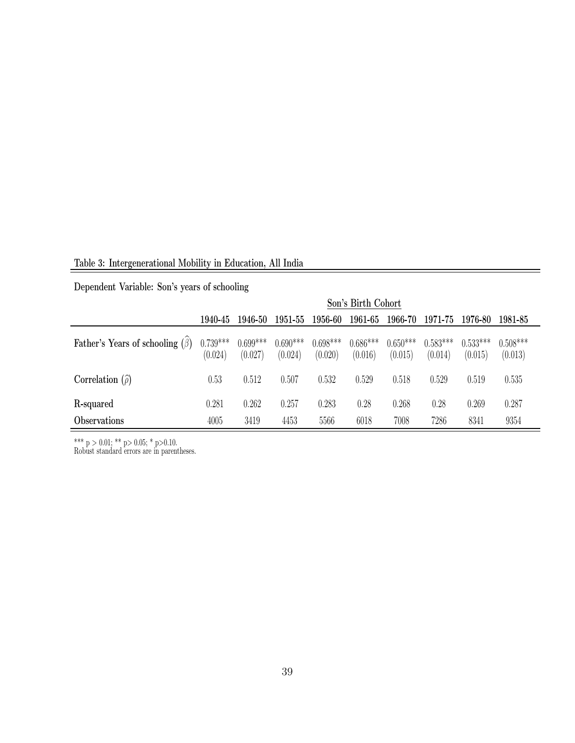Table 3: Intergenerational Mobility in Education, All India

Dependent Variable: Son's years of schooling

|                                       |                       |                       |                       |                       | Son's Birth Cohort    |                       |                       |                       |                       |
|---------------------------------------|-----------------------|-----------------------|-----------------------|-----------------------|-----------------------|-----------------------|-----------------------|-----------------------|-----------------------|
|                                       | 1940-45               | 1946-50               | 1951-55               | 1956-60               | 1961-65               | 1966-70               | 1971-75               | 1976-80               | 1981-85               |
| Father's Years of schooling $(\beta)$ | $0.739***$<br>(0.024) | $0.699***$<br>(0.027) | $0.690***$<br>(0.024) | $0.698***$<br>(0.020) | $0.686***$<br>(0.016) | $0.650***$<br>(0.015) | $0.583***$<br>(0.014) | $0.533***$<br>(0.015) | $0.508***$<br>(0.013) |
| Correlation $(\hat{\rho})$            | 0.53                  | 0.512                 | 0.507                 | 0.532                 | 0.529                 | 0.518                 | 0.529                 | 0.519                 | 0.535                 |
| R-squared                             | 0.281                 | 0.262                 | 0.257                 | 0.283                 | 0.28                  | 0.268                 | 0.28                  | 0.269                 | 0.287                 |
| <i><b>Observations</b></i>            | 4005                  | 3419                  | 4453                  | 5566                  | 6018                  | 7008                  | 7286                  | 8341                  | 9354                  |

\*\*\*  $p > 0.01$ ; \*\*  $p > 0.05$ ; \*  $p > 0.10$ .

Robust standard errors are in parentheses.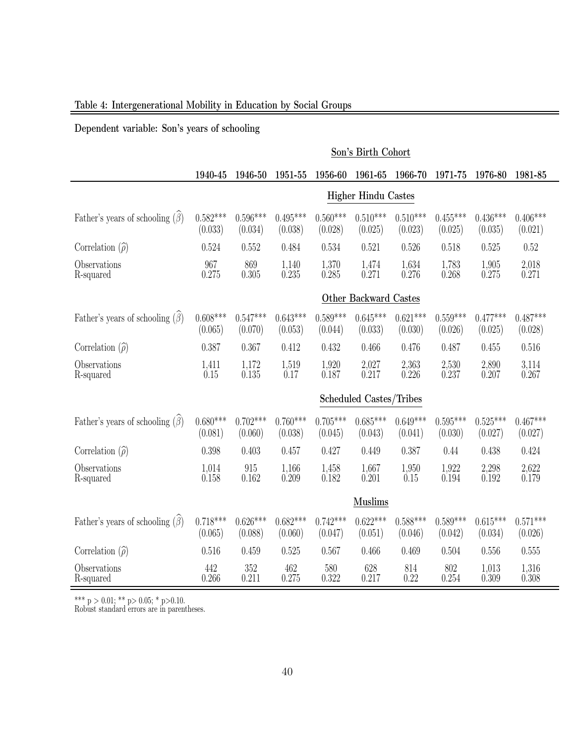### Table 4: Intergenerational Mobility in Education by Social Groups

Dependent variable: Son's years of schooling

|                                       |                       |                                   |                       |                       | Son's Birth Cohort         |                       |                       |                       |                       |
|---------------------------------------|-----------------------|-----------------------------------|-----------------------|-----------------------|----------------------------|-----------------------|-----------------------|-----------------------|-----------------------|
|                                       | 1940-45               | 1946-50                           | 1951-55               | 1956-60               | 1961-65                    | 1966-70               | 1971-75               | 1976-80               | 1981-85               |
|                                       |                       |                                   |                       |                       | <b>Higher Hindu Castes</b> |                       |                       |                       |                       |
| Father's years of schooling $(\beta)$ | $0.582***$<br>(0.033) | $0.596^{\ast\ast\ast}$<br>(0.034) | $0.495***$<br>(0.038) | $0.560***$<br>(0.028) | $0.510***$<br>(0.025)      | $0.510***$<br>(0.023) | $0.455***$<br>(0.025) | $0.436***$<br>(0.035) | $0.406***$<br>(0.021) |
| Correlation $(\hat{\rho})$            | 0.524                 | 0.552                             | 0.484                 | 0.534                 | 0.521                      | 0.526                 | 0.518                 | 0.525                 | 0.52                  |
| Observations<br>R-squared             | 967<br>0.275          | 869<br>0.305                      | 1,140<br>0.235        | 1,370<br>0.285        | 1,474<br>0.271             | 1,634<br>0.276        | 1,783<br>0.268        | 1,905<br>0.275        | 2,018<br>0.271        |
|                                       |                       |                                   |                       |                       | Other Backward Castes      |                       |                       |                       |                       |
| Father's years of schooling $(\beta)$ | $0.608***$<br>(0.065) | $0.547***$<br>(0.070)             | $0.643***$<br>(0.053) | $0.589***$<br>(0.044) | $0.645***$<br>(0.033)      | $0.621***$<br>(0.030) | $0.559***$<br>(0.026) | $0.477***$<br>(0.025) | $0.487***$<br>(0.028) |
| Correlation $(\hat{\rho})$            | 0.387                 | 0.367                             | 0.412                 | 0.432                 | 0.466                      | 0.476                 | 0.487                 | 0.455                 | 0.516                 |
| Observations<br>R-squared             | 1,411<br>0.15         | 1,172<br>0.135                    | 1,519<br>0.17         | 1,920<br>0.187        | 2,027<br>0.217             | 2,363<br>0.226        | 2,530<br>0.237        | 2,890<br>0.207        | 3,114<br>0.267        |
|                                       |                       | <b>Scheduled Castes/Tribes</b>    |                       |                       |                            |                       |                       |                       |                       |
| Father's years of schooling $(\beta)$ | $0.680***$<br>(0.081) | $0.702***$<br>(0.060)             | $0.760***$<br>(0.038) | $0.705***$<br>(0.045) | $0.685***$<br>(0.043)      | $0.649***$<br>(0.041) | $0.595***$<br>(0.030) | $0.525***$<br>(0.027) | $0.467***$<br>(0.027) |
| Correlation $(\hat{\rho})$            | 0.398                 | 0.403                             | 0.457                 | 0.427                 | 0.449                      | 0.387                 | 0.44                  | 0.438                 | 0.424                 |
| Observations<br>R-squared             | 1,014<br>0.158        | 915<br>0.162                      | 1,166<br>0.209        | 1,458<br>0.182        | 1,667<br>0.201             | 1,950<br>0.15         | 1,922<br>0.194        | 2,298<br>0.192        | 2,622<br>0.179        |
|                                       |                       |                                   |                       |                       | <b>Muslims</b>             |                       |                       |                       |                       |
| Father's years of schooling $(\beta)$ | $0.718***$<br>(0.065) | $0.626***$<br>(0.088)             | $0.682***$<br>(0.060) | $0.742***$<br>(0.047) | $0.622***$<br>(0.051)      | $0.588***$<br>(0.046) | $0.589***$<br>(0.042) | $0.615***$<br>(0.034) | $0.571***$<br>(0.026) |
| Correlation $(\hat{\rho})$            | 0.516                 | 0.459                             | 0.525                 | 0.567                 | 0.466                      | 0.469                 | 0.504                 | 0.556                 | 0.555                 |
| Observations<br>R-squared             | 442<br>0.266          | 352<br>0.211                      | 462<br>0.275          | 580<br>0.322          | 628<br>0.217               | 814<br>0.22           | 802<br>0.254          | 1,013<br>0.309        | 1,316<br>0.308        |

\*\*\*  $p > 0.01$ ; \*\*  $p > 0.05$ ; \*  $p > 0.10$ .

Robust standard errors are in parentheses.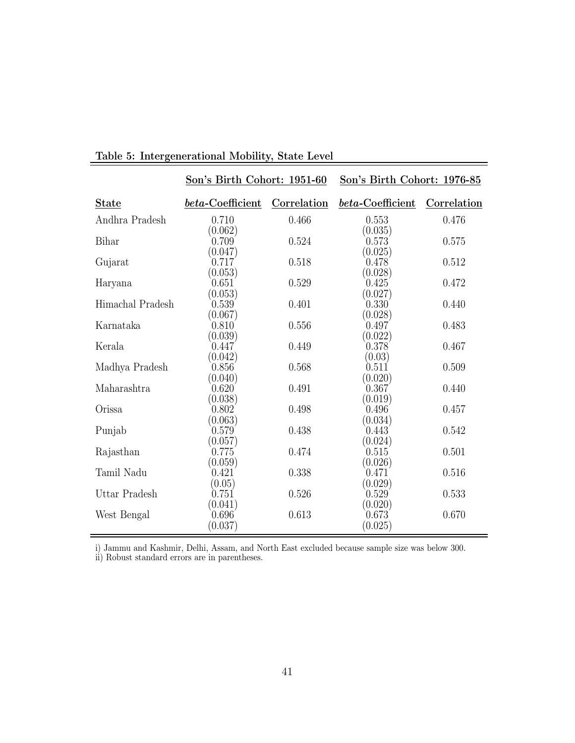|                  | Son's Birth Cohort: 1951-60 |             | Son's Birth Cohort: 1976-85 |             |
|------------------|-----------------------------|-------------|-----------------------------|-------------|
| <b>State</b>     | beta-Coefficient            | Correlation | beta-Coefficient            | Correlation |
| Andhra Pradesh   | 0.710                       | 0.466       | 0.553                       | 0.476       |
| Bihar            | (0.062)<br>0.709            | 0.524       | (0.035)<br>0.573            | 0.575       |
| Gujarat          | (0.047)<br>0.717            | 0.518       | (0.025)<br>0.478            | 0.512       |
| Haryana          | (0.053)<br>0.651            | 0.529       | (0.028)<br>0.425            | 0.472       |
| Himachal Pradesh | (0.053)<br>0.539            | 0.401       | (0.027)<br>0.330            | 0.440       |
| Karnataka        | (0.067)<br>0.810            | 0.556       | (0.028)<br>0.497            | 0.483       |
| Kerala           | (0.039)<br>0.447            | 0.449       | (0.022)<br>0.378            | 0.467       |
|                  | (0.042)                     |             | (0.03)                      |             |
| Madhya Pradesh   | 0.856<br>(0.040)            | 0.568       | 0.511<br>(0.020)            | 0.509       |
| Maharashtra      | 0.620<br>(0.038)            | 0.491       | 0.367<br>(0.019)            | 0.440       |
| Orissa           | 0.802<br>(0.063)            | 0.498       | 0.496<br>(0.034)            | 0.457       |
| Punjab           | 0.579                       | 0.438       | 0.443                       | 0.542       |
| Rajasthan        | (0.057)<br>0.775            | 0.474       | (0.024)<br>0.515            | 0.501       |
| Tamil Nadu       | (0.059)<br>0.421            | 0.338       | (0.026)<br>0.471            | 0.516       |
| Uttar Pradesh    | (0.05)<br>0.751             | 0.526       | (0.029)<br>0.529            | 0.533       |
| West Bengal      | (0.041)<br>0.696            | 0.613       | (0.020)<br>0.673            | 0.670       |
|                  | (0.037)                     |             | (0.025)                     |             |

### Table 5: Intergenerational Mobility, State Level

i) Jammu and Kashmir, Delhi, Assam, and North East excluded because sample size was below 300.

ii) Robust standard errors are in parentheses.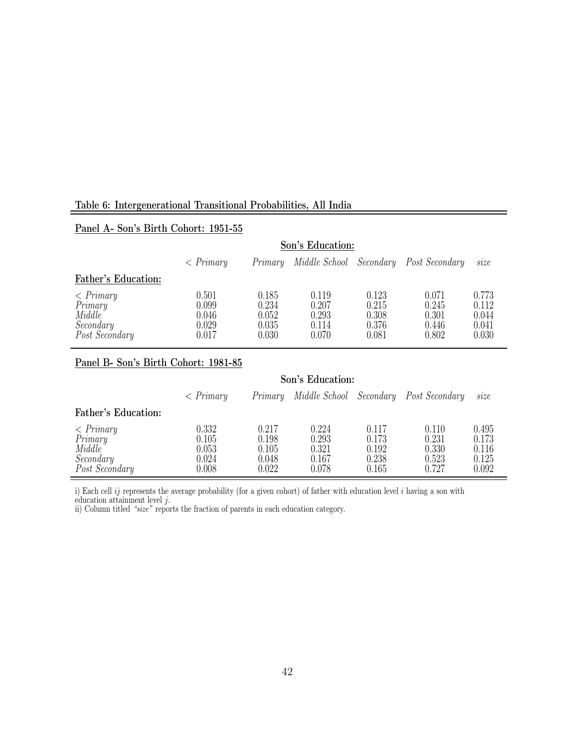### Table 6: Intergenerational Transitional Probabilities, All India

### Panel A- Son's Birth Cohort: 1951-55

|                                                                       |                                           |                                           | Son's Education:                          |                                           |                                           |                                           |
|-----------------------------------------------------------------------|-------------------------------------------|-------------------------------------------|-------------------------------------------|-------------------------------------------|-------------------------------------------|-------------------------------------------|
|                                                                       | $\langle$ Primary                         | Primary                                   |                                           |                                           | Middle School Secondary Post Secondary    | size                                      |
| Father's Education:                                                   |                                           |                                           |                                           |                                           |                                           |                                           |
| $\langle$ Primary<br>Primary<br>Middle<br>Secondary<br>Post Secondary | 0.501<br>0.099<br>0.046<br>0.029<br>0.017 | 0.185<br>0.234<br>0.052<br>0.035<br>0.030 | 0.119<br>0.207<br>0.293<br>0.114<br>0.070 | 0.123<br>0.215<br>0.308<br>0.376<br>0.081 | 0.071<br>0.245<br>0.301<br>0.446<br>0.802 | 0.773<br>0.112<br>0.044<br>0.041<br>0.030 |

### Panel B- Son's Birth Cohort: 1981-85

|                                                                       |                                           |                                           | Son's Education:                          |                                           |                                                |                                           |
|-----------------------------------------------------------------------|-------------------------------------------|-------------------------------------------|-------------------------------------------|-------------------------------------------|------------------------------------------------|-------------------------------------------|
|                                                                       | $\langle$ Primary                         |                                           |                                           |                                           | Primary Middle School Secondary Post Secondary | size                                      |
| Father's Education:                                                   |                                           |                                           |                                           |                                           |                                                |                                           |
| $\langle$ Primary<br>Primary<br>Middle<br>Secondary<br>Post Secondary | 0.332<br>0.105<br>0.053<br>0.024<br>0.008 | 0.217<br>0.198<br>0.105<br>0.048<br>0.022 | 0.224<br>0.293<br>0.321<br>0.167<br>0.078 | 0.117<br>0.173<br>0.192<br>0.238<br>0.165 | 0.110<br>0.231<br>0.330<br>0.523<br>0.727      | 0.495<br>0.173<br>0.116<br>0.125<br>0.092 |

i) Each cell  $ij$  represents the average probability (for a given cohort) of father with education level  $i$  having a son with

education attainment level j.

ii) Column titled "size" reports the fraction of parents in each education category.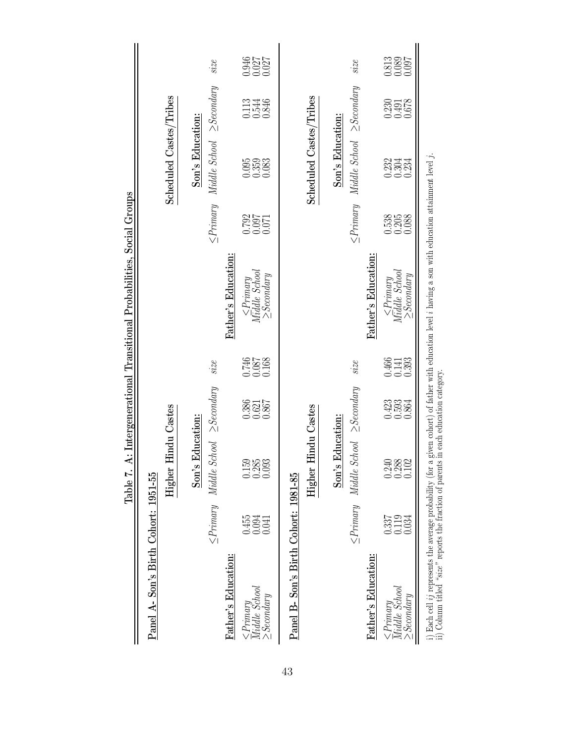|                                                         |                                                        | Table 7.                                      |                         |                                                        | A: Intergenerational Transitional Probabilities, Social Groups                                            |                      |                                               |                                                        |                         |
|---------------------------------------------------------|--------------------------------------------------------|-----------------------------------------------|-------------------------|--------------------------------------------------------|-----------------------------------------------------------------------------------------------------------|----------------------|-----------------------------------------------|--------------------------------------------------------|-------------------------|
| Panel A-Son's Birth Cohort: 1951-55                     |                                                        |                                               |                         |                                                        |                                                                                                           |                      |                                               |                                                        |                         |
|                                                         |                                                        | Higher                                        | <b>Hindu Castes</b>     |                                                        |                                                                                                           |                      | Scheduled Castes/Tribes                       |                                                        |                         |
|                                                         |                                                        | Son's Education:                              |                         |                                                        |                                                                                                           |                      | Son's Education:                              |                                                        |                         |
|                                                         |                                                        | $\leq$ Primary Middle School $\geq$ Secondary |                         | size                                                   |                                                                                                           |                      | $\leq$ Primary Middle School $\geq$ Secondary |                                                        | size                    |
| Father's Education:                                     |                                                        |                                               |                         |                                                        | Father's Education:                                                                                       |                      |                                               |                                                        |                         |
| $\leq$ Primary<br>Middle School<br>$2$ <i>Secondary</i> | $0.455$<br>$0.094$<br>0.041                            | 0.158<br>0.285<br>0.093                       | 0.386<br>0.621<br>0.867 | 891.0<br>180.0<br>180.0                                | $\begin{array}{c}\n\leq\!\!P}{r}{\mathit{imagy}}\\ \textit{Middle School}\end{array}$<br>$\geq$ Secondary | 1792<br>1800<br>1900 | 0.353<br>0.353<br>0.083                       | 0.113<br>0.544<br>0.846                                | 0.946<br>0.027<br>0.027 |
| Panel B- Son's Birth Cohort: 1981-85                    |                                                        |                                               |                         |                                                        |                                                                                                           |                      |                                               |                                                        |                         |
|                                                         |                                                        | Higher                                        | <b>Hindu Castes</b>     |                                                        |                                                                                                           |                      | Scheduled Castes/Tribes                       |                                                        |                         |
|                                                         |                                                        | Son's Education:                              |                         |                                                        |                                                                                                           |                      | Son's Education:                              |                                                        |                         |
|                                                         |                                                        | $\leq$ Primary Middle School $\geq$ Secondary |                         | size                                                   |                                                                                                           |                      | $\leq$ Primary Middle School $\geq$ Secondary |                                                        | size                    |
| Father's Education:                                     |                                                        |                                               |                         |                                                        | Father's Education:                                                                                       |                      |                                               |                                                        |                         |
| $\leq$ Primary<br>Middle School<br>$\geq$ Secondary     | $\begin{array}{c} 0.337 \\ 0.119 \end{array}$<br>0.034 | 9388<br>0.288<br>0.102                        | 0.5334<br>0.5334        | $\begin{array}{c} 0.466 \\ 0.141 \\ 0.393 \end{array}$ | $\leq$ Primary<br>Middle School<br>$\geq$ Secondary                                                       | 0.538<br>0.2088      | 0.334<br>0.354                                | $\begin{array}{c} 0.230 \\ 0.491 \\ 0.678 \end{array}$ | 0.813<br>0.089<br>0.097 |
|                                                         |                                                        |                                               |                         |                                                        |                                                                                                           |                      |                                               |                                                        |                         |

i) Each cell *ij* represents the average probability (for a given cohort) of father with education level *i* having a son with education attainment level *j*.<br>ii) Column titled "size" reports the fraction of parents in ea i) Each cell ij represents the average probability (for a given cohort) of father with education level i having a son with education attainment level j.

ii) Column titled "size" reports the fraction of parents in each education category.

43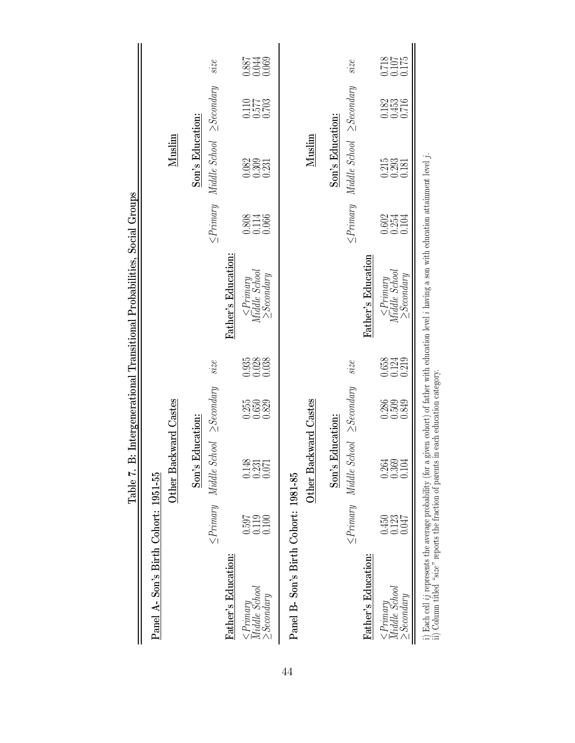|                                                                                                                         |                         |                                                        |                         |                                                        | Table 7. B: Intergenerational Transitional Probabilities, Social Groups                                                        |                         |                                                        |                                                                |                      |
|-------------------------------------------------------------------------------------------------------------------------|-------------------------|--------------------------------------------------------|-------------------------|--------------------------------------------------------|--------------------------------------------------------------------------------------------------------------------------------|-------------------------|--------------------------------------------------------|----------------------------------------------------------------|----------------------|
| Panel A-Son's Birth Cohort: 1951-55                                                                                     |                         |                                                        |                         |                                                        |                                                                                                                                |                         |                                                        |                                                                |                      |
|                                                                                                                         |                         | Other Backward Castes                                  |                         |                                                        |                                                                                                                                |                         | Muslim                                                 |                                                                |                      |
|                                                                                                                         |                         | Son's Education:                                       |                         |                                                        |                                                                                                                                |                         | Son's Education:                                       |                                                                |                      |
|                                                                                                                         | $\leq$ Primary          | $Middle School \geq Secondary$                         |                         | size                                                   |                                                                                                                                | $\leq$ Primary          | Middle School                                          | $\geq$ Secondary                                               | size                 |
| Father's Education:                                                                                                     |                         |                                                        |                         |                                                        | Father's Education:                                                                                                            |                         |                                                        |                                                                |                      |
| $\frac{< \text{Primary}}{\text{Middle}}$ School<br>> Secondary                                                          | 0.597<br>1119<br>0.100  | $\begin{array}{c} 0.148 \\ 0.311 \\ 0.071 \end{array}$ | 0.350<br>0.650<br>0.829 | $\begin{array}{c} 0.935 \\ 0.038 \\ 0.038 \end{array}$ | $\leq$ Primary<br>Middle School<br>$\geq$ Secondary                                                                            | 0.808<br>0.114<br>0.066 | $\begin{array}{c} 0.82 \\ 0.303 \\ 0.231 \end{array}$  | $\begin{array}{c} 0.070 \\ 7750 \\ 0.011 \\ 0.703 \end{array}$ |                      |
| Panel B- Son's Birth Cohort: 1981-85                                                                                    |                         |                                                        |                         |                                                        |                                                                                                                                |                         |                                                        |                                                                |                      |
|                                                                                                                         |                         | Other Backward Castes                                  |                         |                                                        |                                                                                                                                |                         | Muslim                                                 |                                                                |                      |
|                                                                                                                         |                         | Son's Education:                                       |                         |                                                        |                                                                                                                                |                         | Son's Education:                                       |                                                                |                      |
|                                                                                                                         |                         | $\leq$ Primary Middle School $\geq$ Secondary          |                         | size                                                   |                                                                                                                                |                         | $\leq$ Primary Middle School $\geq$ Secondary          |                                                                | size                 |
| Father's Education:                                                                                                     |                         |                                                        |                         |                                                        | Father's Education                                                                                                             |                         |                                                        |                                                                |                      |
| $\leq$ Primary<br>Middle School<br>$\geq$ Secondary                                                                     | 0.450<br>0.123<br>0.047 | 3381<br>0.361<br>0.01                                  | 0.389<br>0.509<br>0.849 | $\begin{array}{c} 0.658 \\ 0.124 \\ 0.219 \end{array}$ | $\begin{array}{c}\n\leq\!P}{r}{\mathit{imary}}\\ \textit{M\"adle}\ \textit{School}\n\end{array}$<br>$\ge$ Secondary            | 0.602<br>0.254<br>0.104 | $\begin{array}{c} 0.215 \\ 0.293 \\ 0.181 \end{array}$ | $\begin{array}{c} 0.182 \\ 0.453 \\ 0.716 \end{array}$         | 8718<br>7010<br>8175 |
| i) Each cell $ij$ represents the average probability (for a<br>ii) Column titled "size" reports the fraction of parents |                         |                                                        |                         |                                                        | given cohort) of father with education level $i$ having a son with education attainment level $j.$ in each education category. |                         |                                                        |                                                                |                      |

44

ii) Column titled "size" reports the fraction of parents in each education category.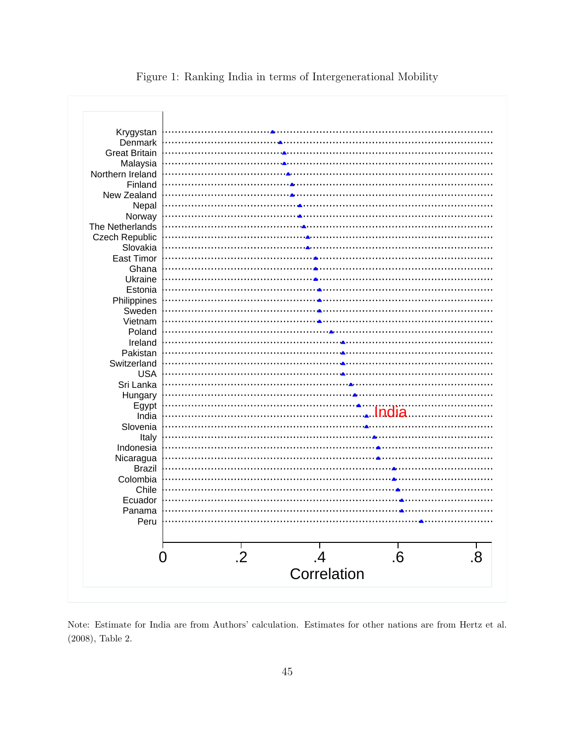| Krygystan             |                 |             |    |    |
|-----------------------|-----------------|-------------|----|----|
| Denmark               |                 |             |    |    |
| <b>Great Britain</b>  |                 |             |    |    |
|                       |                 |             |    |    |
| Malaysia              |                 |             |    |    |
| Northern Ireland      |                 |             |    |    |
| Finland               |                 |             |    |    |
| New Zealand           |                 |             |    |    |
| Nepal                 |                 |             |    |    |
| Norway                |                 |             |    |    |
| The Netherlands       |                 |             |    |    |
| <b>Czech Republic</b> |                 |             |    |    |
| Slovakia              |                 |             |    |    |
| <b>East Timor</b>     |                 |             |    |    |
| Ghana                 |                 |             |    |    |
| Ukraine               |                 |             |    |    |
| Estonia               |                 |             |    |    |
| Philippines           |                 |             |    |    |
|                       |                 |             |    |    |
| Sweden                |                 |             |    |    |
| Vietnam               |                 |             |    |    |
| Poland                |                 |             |    |    |
| Ireland               |                 |             |    |    |
| Pakistan              |                 |             |    |    |
| Switzerland           |                 |             |    |    |
| <b>USA</b>            |                 |             |    |    |
| Sri Lanka             |                 |             |    |    |
| Hungary               |                 |             |    |    |
| Egypt                 |                 |             |    |    |
| India                 |                 |             |    |    |
|                       |                 |             |    |    |
| Slovenia              |                 |             |    |    |
| Italy                 |                 |             |    |    |
| Indonesia             |                 |             |    |    |
| Nicaragua             |                 |             |    |    |
| Brazil                |                 |             |    |    |
| Colombia              |                 |             |    |    |
| Chile                 |                 |             |    |    |
| Ecuador               |                 |             |    |    |
| Panama                |                 |             |    |    |
| Peru                  |                 |             |    |    |
|                       |                 |             |    |    |
|                       |                 |             |    |    |
|                       |                 |             |    |    |
| $\overline{0}$        | $\overline{.2}$ |             | .6 | .8 |
|                       |                 | Correlation |    |    |
|                       |                 |             |    |    |

Figure 1: Ranking India in terms of Intergenerational Mobility

Note: Estimate for India are from Authors' calculation. Estimates for other nations are from Hertz et al. (2008), Table 2.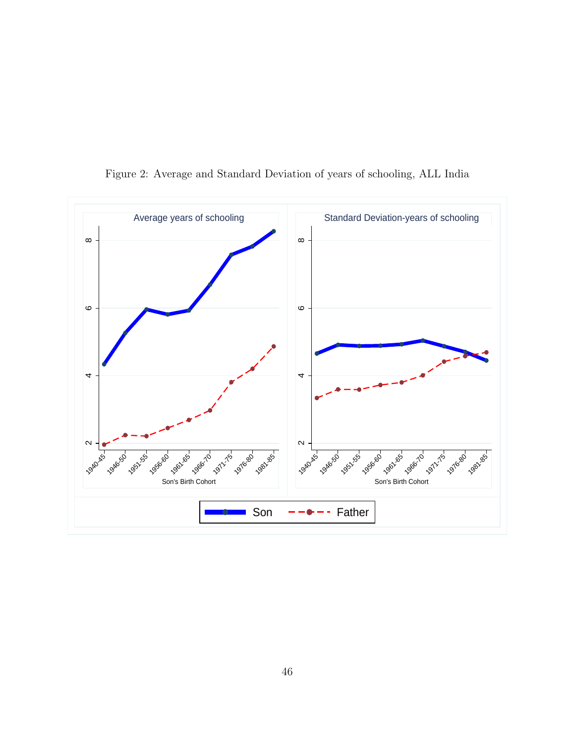

Figure 2: Average and Standard Deviation of years of schooling, ALL India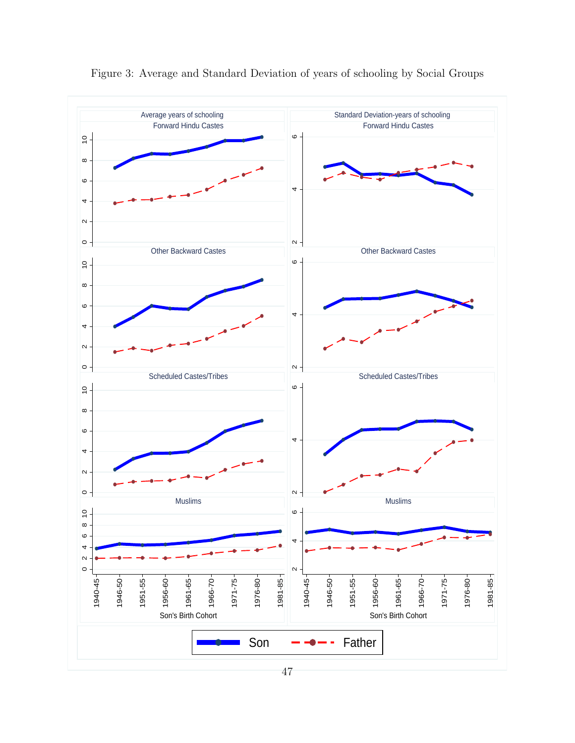

Figure 3: Average and Standard Deviation of years of schooling by Social Groups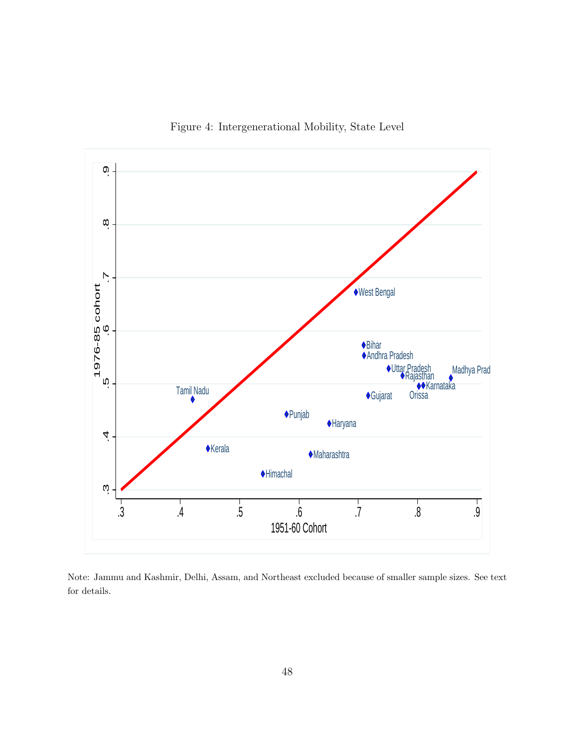

Figure 4: Intergenerational Mobility, State Level

Note: Jammu and Kashmir, Delhi, Assam, and Northeast excluded because of smaller sample sizes. See text for details.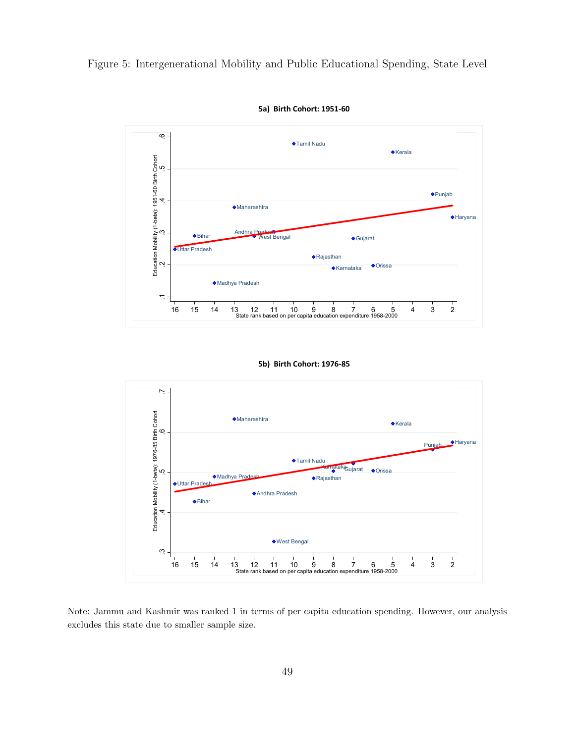Figure 5: Intergenerational Mobility and Public Educational Spending, State Level



5a) Birth Cohort: 1951-60

#### 5b) Birth Cohort: 1976-85



Note: Jammu and Kashmir was ranked 1 in terms of per capita education spending. However, our analysis excludes this state due to smaller sample size.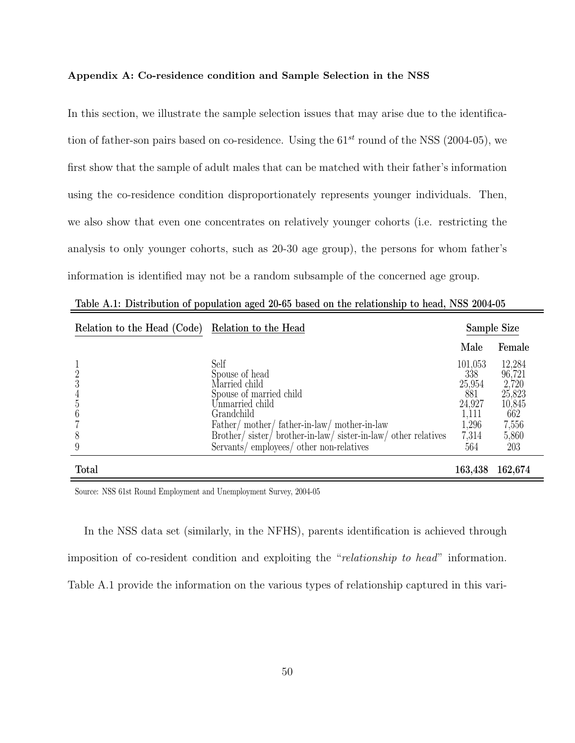#### Appendix A: Co-residence condition and Sample Selection in the NSS

In this section, we illustrate the sample selection issues that may arise due to the identification of father-son pairs based on co-residence. Using the  $61^{st}$  round of the NSS (2004-05), we first show that the sample of adult males that can be matched with their father's information using the co-residence condition disproportionately represents younger individuals. Then, we also show that even one concentrates on relatively younger cohorts (i.e. restricting the analysis to only younger cohorts, such as 20-30 age group), the persons for whom father's information is identified may not be a random subsample of the concerned age group.

| Relation to the Head (Code) | Relation to the Head                                                                                                                                                                                                                                      |                                                                             | Sample Size                                                                   |
|-----------------------------|-----------------------------------------------------------------------------------------------------------------------------------------------------------------------------------------------------------------------------------------------------------|-----------------------------------------------------------------------------|-------------------------------------------------------------------------------|
|                             |                                                                                                                                                                                                                                                           | Male                                                                        | Female                                                                        |
| 8                           | Self<br>Spouse of head<br>Married child<br>Spouse of married child<br>Unmarried child<br>Grandchild<br>Father/mother/father-in-law/mother-in-law<br>Brother/sister/brother-in-law/sister-in-law/other relatives<br>Servants/employees/other non-relatives | 101,053<br>338<br>25,954<br>881<br>24,927<br>1,111<br>1,296<br>7,314<br>564 | 12,284<br>96,721<br>2,720<br>25,823<br>10,845<br>662<br>7,556<br>5,860<br>203 |
| <b>Total</b>                |                                                                                                                                                                                                                                                           | 163,438                                                                     | 162,674                                                                       |

Table A.1: Distribution of population aged 20-65 based on the relationship to head, NSS 2004-05

Source: NSS 61st Round Employment and Unemployment Survey, 2004-05

In the NSS data set (similarly, in the NFHS), parents identification is achieved through imposition of co-resident condition and exploiting the "relationship to head" information. Table A.1 provide the information on the various types of relationship captured in this vari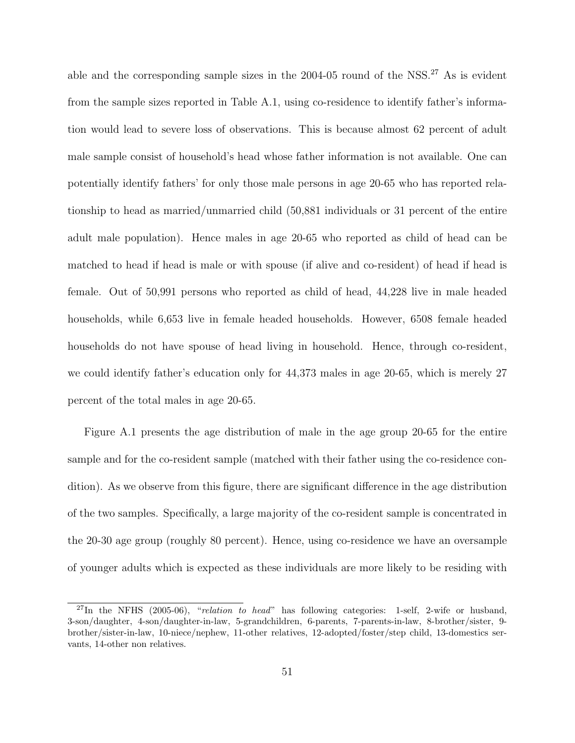able and the corresponding sample sizes in the  $2004-05$  round of the NSS.<sup>27</sup> As is evident from the sample sizes reported in Table A.1, using co-residence to identify father's information would lead to severe loss of observations. This is because almost 62 percent of adult male sample consist of household's head whose father information is not available. One can potentially identify fathers' for only those male persons in age 20-65 who has reported relationship to head as married/unmarried child (50,881 individuals or 31 percent of the entire adult male population). Hence males in age 20-65 who reported as child of head can be matched to head if head is male or with spouse (if alive and co-resident) of head if head is female. Out of 50,991 persons who reported as child of head, 44,228 live in male headed households, while 6,653 live in female headed households. However, 6508 female headed households do not have spouse of head living in household. Hence, through co-resident, we could identify father's education only for 44,373 males in age 20-65, which is merely 27 percent of the total males in age 20-65.

Figure A.1 presents the age distribution of male in the age group 20-65 for the entire sample and for the co-resident sample (matched with their father using the co-residence condition). As we observe from this figure, there are significant difference in the age distribution of the two samples. Specifically, a large majority of the co-resident sample is concentrated in the 20-30 age group (roughly 80 percent). Hence, using co-residence we have an oversample of younger adults which is expected as these individuals are more likely to be residing with

 $^{27}$ In the NFHS (2005-06), "relation to head" has following categories: 1-self, 2-wife or husband, 3-son/daughter, 4-son/daughter-in-law, 5-grandchildren, 6-parents, 7-parents-in-law, 8-brother/sister, 9 brother/sister-in-law, 10-niece/nephew, 11-other relatives, 12-adopted/foster/step child, 13-domestics servants, 14-other non relatives.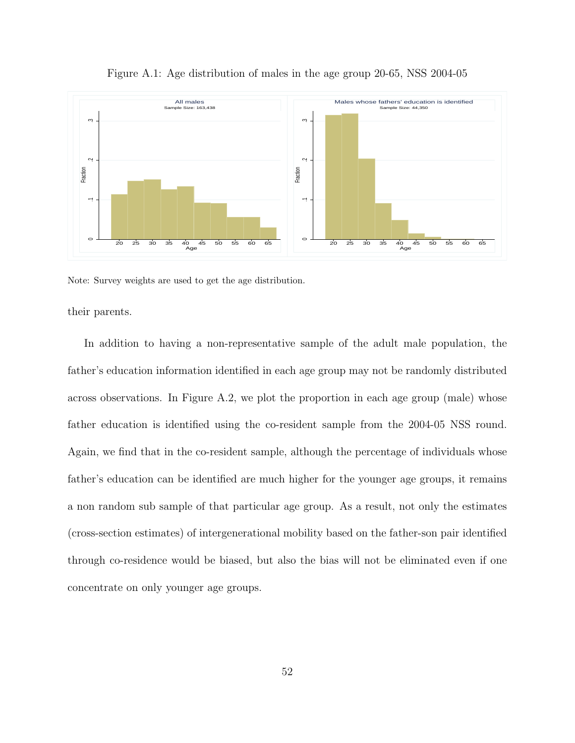

Figure A.1: Age distribution of males in the age group 20-65, NSS 2004-05

Note: Survey weights are used to get the age distribution.

their parents.

In addition to having a non-representative sample of the adult male population, the father's education information identified in each age group may not be randomly distributed across observations. In Figure A.2, we plot the proportion in each age group (male) whose father education is identified using the co-resident sample from the 2004-05 NSS round. Again, we find that in the co-resident sample, although the percentage of individuals whose father's education can be identified are much higher for the younger age groups, it remains a non random sub sample of that particular age group. As a result, not only the estimates (cross-section estimates) of intergenerational mobility based on the father-son pair identified through co-residence would be biased, but also the bias will not be eliminated even if one concentrate on only younger age groups.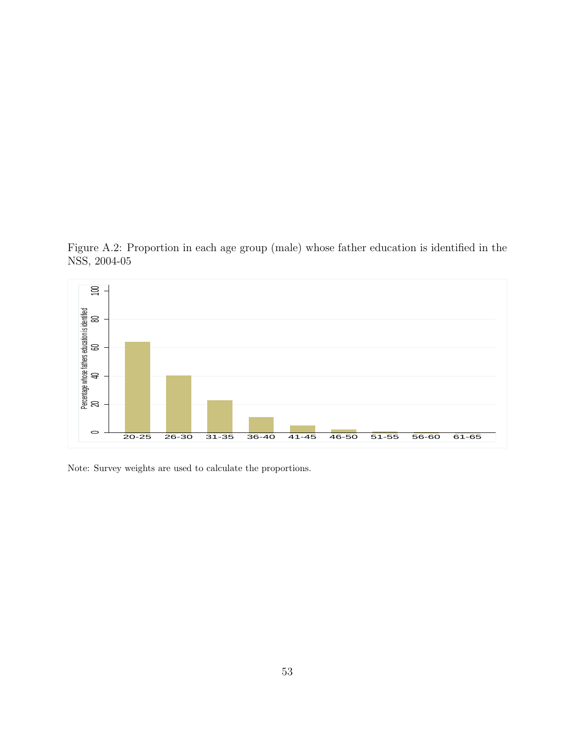Figure A.2: Proportion in each age group (male) whose father education is identified in the NSS, 2004-05



Note: Survey weights are used to calculate the proportions.